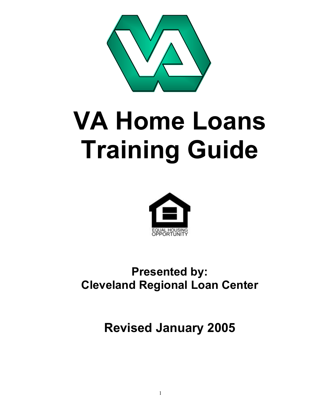

# **VA Home Loans Training Guide**



# **Presented by: Cleveland Regional Loan Center**

**Revised January 2005**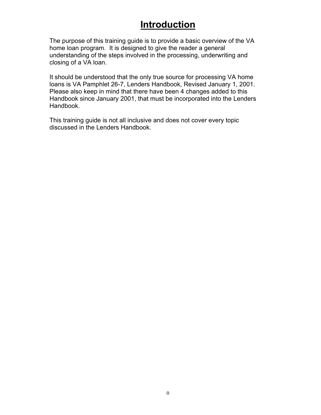# **Introduction**

The purpose of this training guide is to provide a basic overview of the VA home loan program. It is designed to give the reader a general understanding of the steps involved in the processing, underwriting and closing of a VA loan.

It should be understood that the only true source for processing VA home loans is VA Pamphlet 26-7, Lenders Handbook, Revised January 1, 2001. Please also keep in mind that there have been 4 changes added to this Handbook since January 2001, that must be incorporated into the Lenders Handbook.

This training guide is not all inclusive and does not cover every topic discussed in the Lenders Handbook.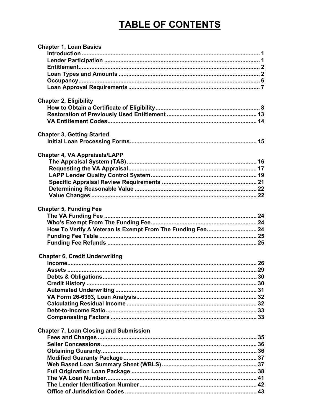# **TABLE OF CONTENTS**

| <b>Chapter 1, Loan Basics</b>                             |  |
|-----------------------------------------------------------|--|
|                                                           |  |
|                                                           |  |
|                                                           |  |
|                                                           |  |
|                                                           |  |
|                                                           |  |
|                                                           |  |
| <b>Chapter 2, Eligibility</b>                             |  |
|                                                           |  |
|                                                           |  |
|                                                           |  |
| <b>Chapter 3, Getting Started</b>                         |  |
|                                                           |  |
|                                                           |  |
| <b>Chapter 4, VA Appraisals/LAPP</b>                      |  |
|                                                           |  |
|                                                           |  |
|                                                           |  |
|                                                           |  |
|                                                           |  |
|                                                           |  |
|                                                           |  |
| <b>Chapter 5, Funding Fee</b>                             |  |
|                                                           |  |
|                                                           |  |
| How To Verify A Veteran Is Exempt From The Funding Fee 24 |  |
|                                                           |  |
|                                                           |  |
|                                                           |  |
| <b>Chapter 6, Credit Underwriting</b>                     |  |
|                                                           |  |
|                                                           |  |
|                                                           |  |
|                                                           |  |
|                                                           |  |
|                                                           |  |
|                                                           |  |
|                                                           |  |
|                                                           |  |
|                                                           |  |
| <b>Chapter 7, Loan Closing and Submission</b>             |  |
|                                                           |  |
|                                                           |  |
|                                                           |  |
|                                                           |  |
|                                                           |  |
|                                                           |  |
|                                                           |  |
|                                                           |  |
|                                                           |  |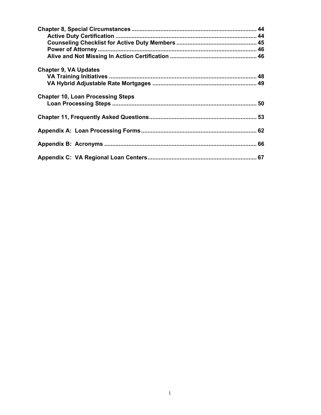| <b>Chapter 9, VA Updates</b>             |  |
|------------------------------------------|--|
|                                          |  |
|                                          |  |
| <b>Chapter 10, Loan Processing Steps</b> |  |
|                                          |  |
|                                          |  |
|                                          |  |
|                                          |  |
|                                          |  |
|                                          |  |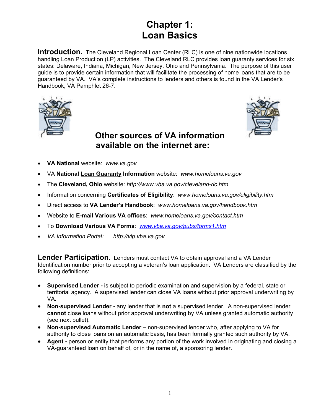# **Chapter 1: Loan Basics**

**Introduction.** The Cleveland Regional Loan Center (RLC) is one of nine nationwide locations handling Loan Production (LP) activities. The Cleveland RLC provides loan guaranty services for six states: Delaware, Indiana, Michigan, New Jersey, Ohio and Pennsylvania. The purpose of this user guide is to provide certain information that will facilitate the processing of home loans that are to be guaranteed by VA. VA's complete instructions to lenders and others is found in the VA Lender's Handbook, VA Pamphlet 26-7.





# **Other sources of VA information available on the internet are:**

- **VA National** website: *www.va.gov*
- VA **National Loan Guaranty Information** website: *www.homeloans.va.gov*
- The **Cleveland, Ohio** website: *http://www.vba.va.gov/cleveland-rlc.htm*
- Information concerning **Certificates of Eligibility**: *www.homeloans.va.gov/eligibility.htm*
- Direct access to **VA Lender's Handbook**: *www.homeloans.va.gov/handbook.htm*
- Website to **E-mail Various VA offices**: *www.homeloans.va.gov/contact.htm*
- To **Download Various VA Forms**: *www.vba.va.gov/pubs/forms1.htm*
- *VA Information Portal: http://vip.vba.va.gov*

**Lender Participation.** Lenders must contact VA to obtain approval and a VA Lender Identification number prior to accepting a veteran's loan application. VA Lenders are classified by the following definitions:

- **Supervised Lender -** is subject to periodic examination and supervision by a federal, state or territorial agency. A supervised lender can close VA loans without prior approval underwriting by VA.
- **Non-supervised Lender -** any lender that is **not** a supervised lender. A non-supervised lender **cannot** close loans without prior approval underwriting by VA unless granted automatic authority (see next bullet).
- **Non-supervised Automatic Lender** non-supervised lender who, after applying to VA for authority to close loans on an automatic basis, has been formally granted such authority by VA.
- **Agent -** person or entity that performs any portion of the work involved in originating and closing a VA-guaranteed loan on behalf of, or in the name of, a sponsoring lender.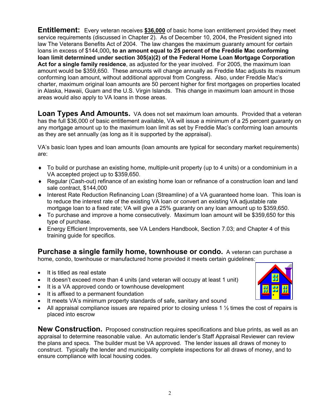**Entitlement:** Every veteran receives **\$36,000** of basic home loan entitlement provided they meet service requirements (discussed in Chapter 2). As of December 10, 2004, the President signed into law The Veterans Benefits Act of 2004. The law changes the maximum guaranty amount for certain loans in excess of \$144,000**, to an amount equal to 25 percent of the Freddie Mac conforming loan limit determined under section 305(a)(2) of the Federal Home Loan Mortgage Corporation Act for a single family residence**, as adjusted for the year involved. For 2005, the maximum loan amount would be \$359,650. These amounts will change annually as Freddie Mac adjusts its maximum conforming loan amount, without additional approval from Congress. Also, under Freddie Mac's charter, maximum original loan amounts are 50 percent higher for first mortgages on properties located in Alaska, Hawaii, Guam and the U.S. Virgin Islands. This change in maximum loan amount in those areas would also apply to VA loans in those areas.

**Loan Types And Amounts.** VA does not set maximum loan amounts. Provided that a veteran has the full \$36,000 of basic entitlement available, VA will issue a minimum of a 25 percent guaranty on any mortgage amount up to the maximum loan limit as set by Freddie Mac's conforming loan amounts as they are set annually (as long as it is supported by the appraisal).

VA's basic loan types and loan amounts (loan amounts are typical for secondary market requirements) are:

- ♦ To build or purchase an existing home, multiple-unit property (up to 4 units) or a condominium in a VA accepted project up to \$359,650.
- ♦ Regular (Cash-out) refinance of an existing home loan or refinance of a construction loan and land sale contract, \$144,000
- ♦ Interest Rate Reduction Refinancing Loan (Streamline) of a VA guaranteed home loan. This loan is to reduce the interest rate of the existing VA loan or convert an existing VA adjustable rate mortgage loan to a fixed rate; VA will give a 25% guaranty on any loan amount up to \$359,650.
- $\bullet$  To purchase and improve a home consecutively. Maximum loan amount will be \$359,650 for this type of purchase.
- ♦ Energy Efficient Improvements, see VA Lenders Handbook, Section 7.03; and Chapter 4 of this training guide for specifics.

**Purchase a single family home, townhouse or condo.** A veteran can purchase a home, condo, townhouse or manufactured home provided it meets certain guidelines:

- It is titled as real estate
- It doesn't exceed more than 4 units (and veteran will occupy at least 1 unit)
- It is a VA approved condo or townhouse development
- It is affixed to a permanent foundation
- It meets VA's minimum property standards of safe, sanitary and sound
- All appraisal compliance issues are repaired prior to closing unless 1  $\frac{1}{2}$  times the cost of repairs is placed into escrow

**New Construction.** Proposed construction requires specifications and blue prints, as well as an appraisal to determine reasonable value. An automatic lender's Staff Appraisal Reviewer can review the plans and specs. The builder must be VA approved. The lender issues all draws of money to construct. Typically the lender and municipality complete inspections for all draws of money, and to ensure compliance with local housing codes.

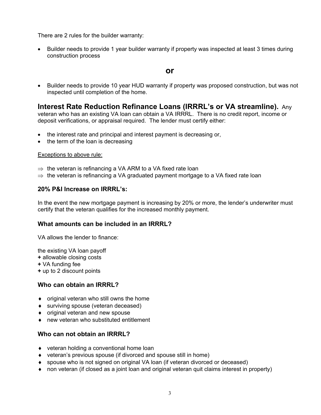There are 2 rules for the builder warranty:

• Builder needs to provide 1 year builder warranty if property was inspected at least 3 times during construction process

# **or**

• Builder needs to provide 10 year HUD warranty if property was proposed construction, but was not inspected until completion of the home.

# **Interest Rate Reduction Refinance Loans (IRRRL's or VA streamline).** Any

veteran who has an existing VA loan can obtain a VA IRRRL. There is no credit report, income or deposit verifications, or appraisal required. The lender must certify either:

- the interest rate and principal and interest payment is decreasing or,
- the term of the loan is decreasing

#### Exceptions to above rule:

- $\Rightarrow$  the veteran is refinancing a VA ARM to a VA fixed rate loan
- $\Rightarrow$  the veteran is refinancing a VA graduated payment mortgage to a VA fixed rate loan

#### **20% P&I Increase on IRRRL's:**

In the event the new mortgage payment is increasing by 20% or more, the lender's underwriter must certify that the veteran qualifies for the increased monthly payment.

# **What amounts can be included in an IRRRL?**

VA allows the lender to finance:

the existing VA loan payoff **+** allowable closing costs **+** VA funding fee **+** up to 2 discount points

# **Who can obtain an IRRRL?**

- $\bullet$  original veteran who still owns the home
- ♦ surviving spouse (veteran deceased)
- ♦ original veteran and new spouse
- ♦ new veteran who substituted entitlement

# **Who can not obtain an IRRRL?**

- ♦ veteran holding a conventional home loan
- ♦ veteran's previous spouse (if divorced and spouse still in home)
- ♦ spouse who is not signed on original VA loan (if veteran divorced or deceased)
- ♦ non veteran (if closed as a joint loan and original veteran quit claims interest in property)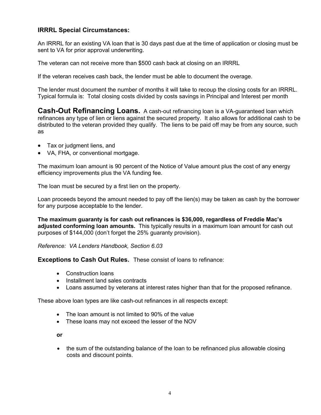# **IRRRL Special Circumstances:**

An IRRRL for an existing VA loan that is 30 days past due at the time of application or closing must be sent to VA for prior approval underwriting.

The veteran can not receive more than \$500 cash back at closing on an IRRRL

If the veteran receives cash back, the lender must be able to document the overage.

The lender must document the number of months it will take to recoup the closing costs for an IRRRL. Typical formula is: Total closing costs divided by costs savings in Principal and Interest per month

**Cash-Out Refinancing Loans.** A cash-out refinancing loan is a VA-guaranteed loan which refinances any type of lien or liens against the secured property. It also allows for additional cash to be distributed to the veteran provided they qualify. The liens to be paid off may be from any source, such as

- Tax or judgment liens, and
- VA, FHA, or conventional mortgage.

The maximum loan amount is 90 percent of the Notice of Value amount plus the cost of any energy efficiency improvements plus the VA funding fee.

The loan must be secured by a first lien on the property.

Loan proceeds beyond the amount needed to pay off the lien(s) may be taken as cash by the borrower for any purpose acceptable to the lender.

**The maximum guaranty is for cash out refinances is \$36,000, regardless of Freddie Mac's adjusted conforming loan amounts.** This typically results in a maximum loan amount for cash out purposes of \$144,000 (don't forget the 25% guaranty provision).

*Reference: VA Lenders Handbook, Section 6.03* 

**Exceptions to Cash Out Rules.** These consist of loans to refinance:

- Construction loans
- Installment land sales contracts
- Loans assumed by veterans at interest rates higher than that for the proposed refinance.

These above loan types are like cash-out refinances in all respects except:

- The loan amount is not limited to 90% of the value
- These loans may not exceed the lesser of the NOV

**or**

• the sum of the outstanding balance of the loan to be refinanced plus allowable closing costs and discount points.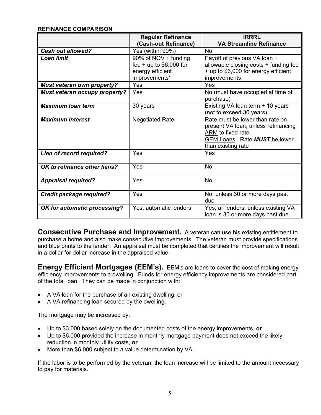# **REFINANCE COMPARISON**

|                                      | <b>Regular Refinance</b><br>(Cash-out Refinance)                                      | <b>IRRRL</b><br><b>VA Streamline Refinance</b>                                                                                                             |
|--------------------------------------|---------------------------------------------------------------------------------------|------------------------------------------------------------------------------------------------------------------------------------------------------------|
| <b>Cash out allowed?</b>             | Yes (within 90%)                                                                      | <b>No</b>                                                                                                                                                  |
| <b>Loan limit</b>                    | 90% of NOV + funding<br>fee + up to $$6,000$ for<br>energy efficient<br>improvements* | Payoff of previous VA loan +<br>allowable closing costs + funding fee<br>+ up to \$6,000 for energy efficient<br>improvements                              |
| <b>Must veteran own property?</b>    | Yes                                                                                   | Yes                                                                                                                                                        |
| <b>Must veteran occupy property?</b> | Yes                                                                                   | No (must have occupied at time of<br>purchase)                                                                                                             |
| <b>Maximum loan term</b>             | 30 years                                                                              | Existing VA loan term + 10 years<br>(not to exceed 30 years).                                                                                              |
| <b>Maximum interest</b>              | <b>Negotiated Rate</b>                                                                | Rate must be lower than rate on<br>present VA loan, unless refinancing<br>ARM to fixed rate.<br><b>GEM Loans: Rate MUST be lower</b><br>than existing rate |
| Lien of record required?             | Yes                                                                                   | Yes                                                                                                                                                        |
| OK to refinance other liens?         | Yes                                                                                   | <b>No</b>                                                                                                                                                  |
| <b>Appraisal required?</b>           | Yes                                                                                   | <b>No</b>                                                                                                                                                  |
| <b>Credit package required?</b>      | Yes                                                                                   | No, unless 30 or more days past<br>due                                                                                                                     |
| OK for automatic processing?         | Yes, automatic lenders                                                                | Yes, all lenders, unless existing VA<br>loan is 30 or more days past due                                                                                   |

**Consecutive Purchase and Improvement.** A veteran can use his existing entitlement to purchase a home and also make consecutive improvements. The veteran must provide specifications and blue prints to the lender. An appraisal must be completed that certifies the improvement will result in a dollar for dollar increase in the appraised value.

**Energy Efficient Mortgages (EEM's).** EEM's are loans to cover the cost of making energy efficiency improvements to a dwelling. Funds for energy efficiency improvements are considered part of the total loan. They can be made in conjunction with:

- A VA loan for the purchase of an existing dwelling, or
- A VA refinancing loan secured by the dwelling.

The mortgage may be increased by:

- Up to \$3,000 based solely on the documented costs of the energy improvements, **or**
- Up to \$6,000 provided the increase in monthly mortgage payment does not exceed the likely reduction in monthly utility costs, **or**
- More than \$6,000 subject to a value determination by VA.

If the labor is to be performed by the veteran, the loan increase will be limited to the amount necessary to pay for materials.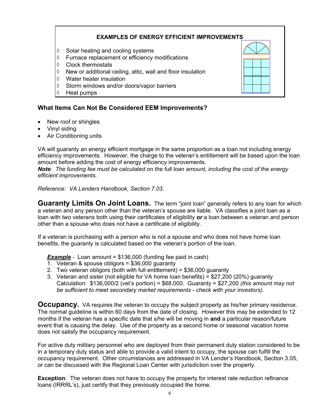# **EXAMPLES OF ENERGY EFFICIENT IMPROVEMENTS**

- ◊ Solar heating and cooling systems
- ◊ Furnace replacement or efficiency modifications
- ◊ Clock thermostats
- ◊ New or additional ceiling, attic, wall and floor insulation
- ◊ Water heater insulation
- ◊ Storm windows and/or doors/vapor barriers
- ◊ Heat pumps

# **What Items Can Not Be Considered EEM Improvements?**

- New roof or shingles
- Vinyl siding
- Air Conditioning units

VA will guaranty an energy efficient mortgage in the same proportion as a loan not including energy efficiency improvements. However, the charge to the veteran's entitlement will be based upon the loan amount before adding the cost of energy efficiency improvements.

*Note: The funding fee must be calculated on the full loan amount, including the cost of the energy efficient improvements.* 

*Reference: VA Lenders Handbook, Section 7.03.*

**Guaranty Limits On Joint Loans.** The term "joint loan" generally refers to any loan for which a veteran and any person other than the veteran's spouse are liable. VA classifies a joint loan as a loan with two veterans both using their certificates of eligibility *or* a loan between a veteran and person other than a spouse who does not have a certificate of eligibility.

If a veteran is purchasing with a person who is not a spouse and who does not have home loan benefits, the guaranty is calculated based on the veteran's portion of the loan.

**Example** - Loan amount = \$136,000 (funding fee paid in cash)

- 1. Veteran & spouse obligors = \$36,000 guaranty
- 2. Two veteran obligors (both with full entitlement) = \$36,000 guaranty
- 3. Veteran and sister (not eligible for VA home loan benefits) = \$27,200 (20%) guaranty Calculation: \$136,000/2 (vet's portion) = \$68,000. Guaranty = \$27,200 *(this amount may not be sufficient to meet secondary market requirements - check with your investors).*

**Occupancy.** VA requires the veteran to occupy the subject property as his/her primary residence. The normal guideline is within 60 days from the date of closing. However this may be extended to 12 months if the veteran has a specific date that s/he will be moving in **and** a particular reason/future event that is causing the delay. Use of the property as a second home or seasonal vacation home does not satisfy the occupancy requirement.

For active duty military personnel who are deployed from their permanent duty station considered to be in a temporary duty status and able to provide a valid intent to occupy, the spouse can fulfill the occupancy requirement. Other circumstances are addressed in VA Lender's Handbook, Section 3.05, or can be discussed with the Regional Loan Center with jurisdiction over the property.

**Exception**: The veteran does not have to occupy the property for interest rate reduction refinance loans (IRRRL's), just certify that they previously occupied the home.

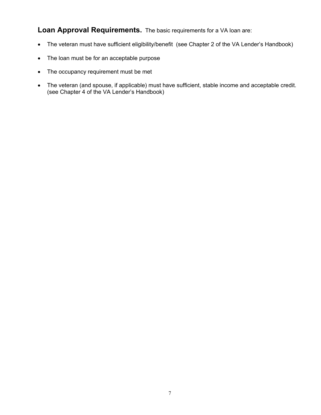**Loan Approval Requirements.** The basic requirements for a VA loan are:

- The veteran must have sufficient eligibility/benefit (see Chapter 2 of the VA Lender's Handbook)
- The loan must be for an acceptable purpose
- The occupancy requirement must be met
- The veteran (and spouse, if applicable) must have sufficient, stable income and acceptable credit. (see Chapter 4 of the VA Lender's Handbook)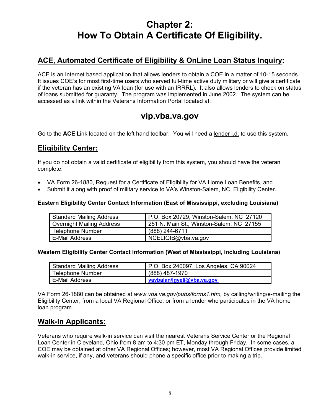# **Chapter 2: How To Obtain A Certificate Of Eligibility.**

# **ACE, Automated Certificate of Eligibility & OnLine Loan Status Inquiry:**

ACE is an Internet based application that allows lenders to obtain a COE in a matter of 10-15 seconds. It issues COE's for most first-time users who served full-time active duty military or will give a certificate if the veteran has an existing VA loan (for use with an IRRRL). It also allows lenders to check on status of loans submitted for guaranty. The program was implemented in June 2002. The system can be accessed as a link within the Veterans Information Portal located at:

# **vip.vba.va.gov**

Go to the **ACE** Link located on the left hand toolbar. You will need a lender i.d. to use this system.

# **Eligibility Center:**

If you do not obtain a valid certificate of eligibility from this system, you should have the veteran complete:

- VA Form 26-1880, Request for a Certificate of Eligibility for VA Home Loan Benefits, and
- Submit it along with proof of military service to VA's Winston-Salem, NC, Eligibility Center.

#### **Eastern Eligibility Center Contact Information (East of Mississippi, excluding Louisiana)**

| <b>Standard Mailing Address</b>  | P.O. Box 20729, Winston-Salem, NC 27120  |
|----------------------------------|------------------------------------------|
| <b>Overnight Mailing Address</b> | 251 N. Main St., Winston-Salem, NC 27155 |
| <b>Telephone Number</b>          | (888) 244-6711                           |
| E-Mail Address                   | NCELIGIB@vba.va.gov                      |

#### **Western Eligibility Center Contact Information (West of Mississippi, including Louisiana)**

| <b>Standard Mailing Address</b> | P.O. Box 240097, Los Angeles, CA 90024 |
|---------------------------------|----------------------------------------|
| Telephone Number                | (888) 487-1970                         |
| E-Mail Address                  | vavbalan/Igyeli@vba.va.gov             |

VA Form 26-1880 can be obtained at *www.vba.va.gov/pubs/forms1.htm,* by calling/writing/e-mailing the Eligibility Center, from a local VA Regional Office, or from a lender who participates in the VA home loan program.

# **Walk-In Applicants:**

Veterans who require walk-in service can visit the nearest Veterans Service Center or the Regional Loan Center in Cleveland, Ohio from 8 am to 4:30 pm ET, Monday through Friday. In some cases, a COE may be obtained at other VA Regional Offices; however, most VA Regional Offices provide limited walk-in service, if any, and veterans should phone a specific office prior to making a trip.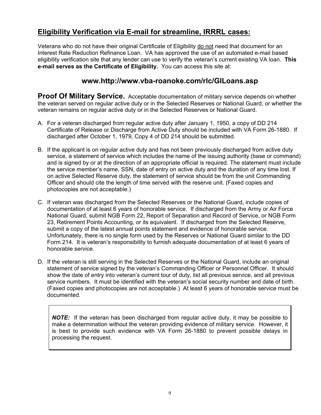# **Eligibility Verification via E-mail for streamline, IRRRL cases:**

Veterans who do not have their original Certificate of Eligibility do not need that document for an Interest Rate Reduction Refinance Loan. VA has approved the use of an automated e-mail based eligibility verification site that any lender can use to verify the veteran's current existing VA loan. **This e-mail serves as the Certificate of Eligibility.** You can access this site at:

# **www.http://www.vba-roanoke.com/rlc/GILoans.asp**

**Proof Of Military Service.** Acceptable documentation of military service depends on whether the veteran served on regular active duty or in the Selected Reserves or National Guard, or whether the veteran remains on regular active duty or in the Selected Reserves or National Guard.

- A. For a veteran discharged from regular active duty after January 1, 1950, a copy of DD 214 Certificate of Release or Discharge from Active Duty should be included with VA Form 26-1880. If discharged after October 1, 1979, Copy 4 of DD 214 should be submitted.
- B. If the applicant is on regular active duty and has not been previously discharged from active duty service, a statement of service which includes the name of the issuing authority (base or command) and is signed by or at the direction of an appropriate official is required. The statement must include the service member's name, SSN, date of entry on active duty and the duration of any time lost. If on active Selected Reserve duty, the statement of service should be from the unit Commanding Officer and should cite the length of time served with the reserve unit. (Faxed copies and photocopies are not acceptable.)
- C. If veteran was discharged from the Selected Reserves or the National Guard, include copies of documentation of at least 6 years of honorable service. If discharged from the Army or Air Force National Guard, submit NGB Form 22, Report of Separation and Record of Service, or NGB Form 23, Retirement Points Accounting, or its equivalent. If discharged from the Selected Reserve, submit a copy of the latest annual points statement and evidence of honorable service. Unfortunately, there is no single form used by the Reserves or National Guard similar to the DD Form 214. It is veteran's responsibility to furnish adequate documentation of at least 6 years of honorable service.
- D. If the veteran is still serving in the Selected Reserves or the National Guard, include an original statement of service signed by the veteran's Commanding Officer or Personnel Officer. It should show the date of entry into veteran's current tour of duty, list all previous service, and all previous service numbers. It must be identified with the veteran's social security number and date of birth. (Faxed copies and photocopies are not acceptable.) At least 6 years of honorable service must be documented.

*NOTE:* If the veteran has been discharged from regular active duty, it may be possible to make a determination without the veteran providing evidence of military service. However, it is best to provide such evidence with VA Form 26-1880 to prevent possible delays in processing the request.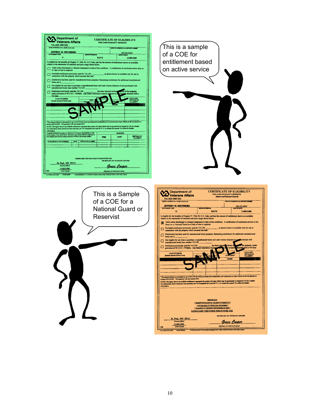| <b>CERTIFICATE OF ELIGIBILITY</b><br><b>Veterans Affairs</b><br>FOR LOAN GUARANTY BENEFITS                                                                                                                                                                                |                                                                                                                                                                                                                                                                                                                                                                                                    |
|---------------------------------------------------------------------------------------------------------------------------------------------------------------------------------------------------------------------------------------------------------------------------|----------------------------------------------------------------------------------------------------------------------------------------------------------------------------------------------------------------------------------------------------------------------------------------------------------------------------------------------------------------------------------------------------|
| VA-335-0087351<br><b>IS OF FETERIAL OWN, MORAL EN</b>                                                                                                                                                                                                                     | This is a sample                                                                                                                                                                                                                                                                                                                                                                                   |
| <b>SERVICE MULTER/SOCIAL SECURITY MU</b><br>JEFFREY M. SHUNBERG<br>111 11 1111                                                                                                                                                                                            |                                                                                                                                                                                                                                                                                                                                                                                                    |
| <b>NAVY</b><br>11/09/1969                                                                                                                                                                                                                                                 | of a COE for                                                                                                                                                                                                                                                                                                                                                                                       |
| Is cligible for the benefits of Chapter 37, Title 38, U.S. Code, and has the amount of entitlement shown as available,<br>subject to the statements (if checked) and prior usage shown below.                                                                             | entitlement based                                                                                                                                                                                                                                                                                                                                                                                  |
| Valid unless discharged or released subsequent to date of this certificate. A certification of continuous active duty as<br>of date of note is required.                                                                                                                  | on active service                                                                                                                                                                                                                                                                                                                                                                                  |
| $\begin{tabular}{l} Excluded entitled the network previously used for VA LIN \\ connection with the property which secured that loan. \end{tabular}$<br>as shown herein is available only for use in                                                                      |                                                                                                                                                                                                                                                                                                                                                                                                    |
| Entitlement has been used for manufactured home purposes. Remaining entitlement for additional manufactured<br>home use is                                                                                                                                                |                                                                                                                                                                                                                                                                                                                                                                                                    |
| Not eligible for any loan to purchase a manufactured home unit until veteran disposes of unit purchased with manufactured home loan number VA LIN $\_\_\_\_\_\$ .                                                                                                         |                                                                                                                                                                                                                                                                                                                                                                                                    |
| Entitlement previously used for VA LIN<br>sposal of the property,<br>has been restored without<br>under provision of 38 U.S.C. 3702b(4). Any future restoration requires disposal of a<br>obtained with a<br>VA loan                                                      |                                                                                                                                                                                                                                                                                                                                                                                                    |
| DATE AND<br>INITIALS OF<br>VA AGENT<br><b>LOAN NUMBER</b><br>unt if Direct La                                                                                                                                                                                             |                                                                                                                                                                                                                                                                                                                                                                                                    |
|                                                                                                                                                                                                                                                                           |                                                                                                                                                                                                                                                                                                                                                                                                    |
|                                                                                                                                                                                                                                                                           |                                                                                                                                                                                                                                                                                                                                                                                                    |
|                                                                                                                                                                                                                                                                           |                                                                                                                                                                                                                                                                                                                                                                                                    |
| *The amount shown is increased by up to \$14,750 for home purchase and construction and condominium loans which are for an amount in<br>excess of \$144,000. The guaranty will not exceed 25%.                                                                            |                                                                                                                                                                                                                                                                                                                                                                                                    |
| NOTE: The figure shown as available embilement represents the portion of a loan which may be guaranteed or insured by VA to a lender.<br>For information about maximum loan amounts, see VA Pamphlets 26-4 and 26-71-1, or contac<br>information.                         |                                                                                                                                                                                                                                                                                                                                                                                                    |
| according to entitlement is subject to reduction if VA incurs actual list<br>bility or loss control, if any, listed below, obtained by the veteran with the assistance of<br>loan benefits derived from military service in WWII or<br><b>REDUCED</b><br>DATE             |                                                                                                                                                                                                                                                                                                                                                                                                    |
| <b>INITIALS OF</b><br>VA AGENT<br><b>FEBR</b><br>OUTSTANDING LOAN NUMBER(8)   DATE   DETTALS OF VA AGENT                                                                                                                                                                  |                                                                                                                                                                                                                                                                                                                                                                                                    |
|                                                                                                                                                                                                                                                                           |                                                                                                                                                                                                                                                                                                                                                                                                    |
| SAFEGUARD THIS DOCUMENT FOR FUTURE USE<br>SECRETARY OF VETERANS AFFAIRS<br>St. Paul, MN 55111<br>(Issuing Office)<br><u> Grace Cooper</u><br>11/03/1999<br>(Date Issued)<br>SUPERSEDES VA FORM 26-8320, FEB 1990, WHICH WILL NOT BE USED<br>CG26-8320<br>VA FORM AUG 1995 |                                                                                                                                                                                                                                                                                                                                                                                                    |
| This is a Sample<br>of a COE for a<br><b>National Guard or</b>                                                                                                                                                                                                            | <b>CERTIFICATE C</b><br><b>Department of</b><br>FOR LOAN GUARAN<br><b>Veterans Affairs</b><br>(Reserves/Nation<br>VA-335-0087351<br><b>NAIS OF FETERAN (Fort, Middle Initial, Las</b><br><b>JEFFREY M. SHUNBERG</b><br><b>ENTITLEMENT CODE</b><br><b><i>BUILD OF BEITICH</i></b><br><b>NAVY</b><br>11<br>Is eligible for the benefits of Chapter 37, Title 38, U.S. Code, and has the amount of en |
| Reservist                                                                                                                                                                                                                                                                 | subject to the statements (if checked) and prior usage shown below.                                                                                                                                                                                                                                                                                                                                |
|                                                                                                                                                                                                                                                                           | Valid unless discharged or released subsequent to date of this certificate. A certi Reserves or National Guard as of date of note is required.<br>as shown her                                                                                                                                                                                                                                     |
|                                                                                                                                                                                                                                                                           | Excluded entitlement previously used for VA LIN<br>□<br>connection with the property which secured that loan.                                                                                                                                                                                                                                                                                      |
|                                                                                                                                                                                                                                                                           | home use is                                                                                                                                                                                                                                                                                                                                                                                        |
|                                                                                                                                                                                                                                                                           | Entitlement has been used for manufactured home purposes. Remaining entitlem<br>Not cligible for any loan to purchase a manufactured home unit until veteran disp<br>manufactured home loan number VA LIN<br>has been rea                                                                                                                                                                          |
|                                                                                                                                                                                                                                                                           | Entitlement previously used for VA LIN<br>ப<br>provision of 38 U.S.C. 3702b(4). Any future restoration require                                                                                                                                                                                                                                                                                     |
|                                                                                                                                                                                                                                                                           | <b>LOAN NUMBER</b><br>(Include amount if Direct Loan)                                                                                                                                                                                                                                                                                                                                              |
|                                                                                                                                                                                                                                                                           |                                                                                                                                                                                                                                                                                                                                                                                                    |
|                                                                                                                                                                                                                                                                           |                                                                                                                                                                                                                                                                                                                                                                                                    |
|                                                                                                                                                                                                                                                                           |                                                                                                                                                                                                                                                                                                                                                                                                    |
|                                                                                                                                                                                                                                                                           | excess of \$144,000. The guaranty will not exceed 25%.                                                                                                                                                                                                                                                                                                                                             |
|                                                                                                                                                                                                                                                                           | information.                                                                                                                                                                                                                                                                                                                                                                                       |
|                                                                                                                                                                                                                                                                           |                                                                                                                                                                                                                                                                                                                                                                                                    |
|                                                                                                                                                                                                                                                                           | *The amount shown is increased by up to \$14,750 for home purchase and construction and condomi<br>NOTE: The figure shown as available entitiement represents the portion of a loan which may be guas<br>For information about maximum loan amounts, see VA Pamphlets 26-4 and 26-71-1, or contact the                                                                                             |
|                                                                                                                                                                                                                                                                           | <b>IMPORTANT</b><br>**RESERVES/NATIONAL GUARD ELICIBILITY*                                                                                                                                                                                                                                                                                                                                         |
|                                                                                                                                                                                                                                                                           | ** INCREASED FUNDING FEE REQUIRED**<br>"ELIGIBILITY EXPIRES SEPTEMBER 30, 2003*                                                                                                                                                                                                                                                                                                                    |
|                                                                                                                                                                                                                                                                           | <b>SAFEGUARD THIS FORM FOR FUTURE I</b><br><b>SECRETARY OF</b>                                                                                                                                                                                                                                                                                                                                     |

**WINDOWS AND SERVE AND SERVE ASSESSED AND SUPPLY AND SUPPLY ASSESSED AND SUPPLY ASSESSED AND SUPPLY ASSESSED AND SUPPLY ASSESSED AND SUPPLY ASSESSED AND SUPPLY ASSESSED AND SUPPLY ASSESSED AND SUPPLY ASSESSED AND SUPPLY AS**  $\frac{111 - 11 - 1111}{\text{AGT of 200}}$ 11/09/1969  $\frac{1}{\sinh \theta}$ nt of entitlement shown as available, rtificate. A certification of continuous service in the as shown herein is available only for use in ment for additio erty, under<br>VA loan. DATE AND<br>INITIALS OF ium loans which are for an amount in n which may be guaranteed or insured by VA to a lender<br>71-1, or contact the nearest VA office for further xт <u>WT</u><br>UARD ELIGIBILITY\*\*<br>FFEE REQUIRED\*\*<br>E<mark>PTEMBER 30, 2003\*\*</mark><br>I <u>FOR FUTURE USE</u> SECRETARY OF VETERANS APPAIRS  $\begin{array}{|c|c|c|c|c|} \hline & \text{St. Pauli MMS 5111} & \text{Grass} & \text{Grace } Cooper \\ \hline & \text{dim} & \text{Graice} & \text{Grace } Conoepere \\ \hline & \text{Gra} & \text{Gra} & \text{Gra} & \text{Gra} & \text{Gra} & \text{Gra} & \text{Gra} \\ \hline & \text{Gra} & \text{Gra} & \text{Gra} & \text{Gra} & \text{Gra} & \text{Gra} & \text{Gra} & \text{Gra} \\ \hline & \text{Gra} & \text{Gra} & \text{G$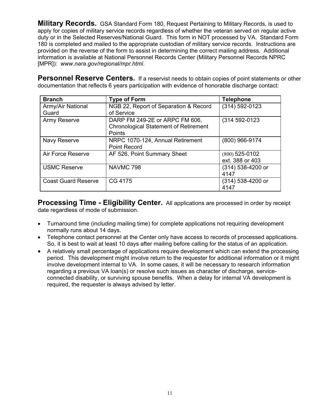**Military Records.** GSA Standard Form 180, Request Pertaining to Military Records, is used to apply for copies of military service records regardless of whether the veteran served on regular active duty or in the Selected Reserves/National Guard. This form in NOT processed by VA. Standard Form 180 is completed and mailed to the appropriate custodian of military service records. Instructions are provided on the reverse of the form to assist in determining the correct mailing address. Additional information is available at National Personnel Records Center (Military Personnel Records NPRC [MPR]): *www.nara.gov/regional/mpr.html*.

Personnel Reserve Centers. If a reservist needs to obtain copies of point statements or other documentation that reflects 6 years participation with evidence of honorable discharge contact:

| <b>Branch</b>              | <b>Type of Form</b>                          | <b>Telephone</b>   |
|----------------------------|----------------------------------------------|--------------------|
| Army/Air National          | NGB 22, Report of Separation & Record        | $(314) 592 - 0123$ |
| Guard                      | of Service                                   |                    |
| Army Reserve               | DARP FM 249-2E or ARPC FM 606,               | (314 592-0123      |
|                            | <b>Chronological Statement of Retirement</b> |                    |
|                            | Points                                       |                    |
| Navy Reserve               | NRPC 1070-124, Annual Retirement             | (800) 966-9174     |
|                            | <b>Point Record</b>                          |                    |
| Air Force Reserve          | AF 526, Point Summary Sheet                  | $(800)$ 525-0102   |
|                            |                                              | ext. 388 or 403    |
| <b>USMC Reserve</b>        | NAVMC 798                                    | (314) 538-4200 or  |
|                            |                                              | 4147               |
| <b>Coast Guard Reserve</b> | CG 4175                                      | (314) 538-4200 or  |
|                            |                                              | 4147               |

**Processing Time - Eligibility Center.** All applications are processed in order by receipt date regardless of mode of submission.

- Turnaround time (including mailing time) for complete applications not requiring development normally runs about 14 days.
- Telephone contact personnel at the Center only have access to records of processed applications. So, it is best to wait at least 10 days after mailing before calling for the status of an application.
- A relatively small percentage of applications require development which can extend the processing period. This development might involve return to the requester for additional information or it might involve development internal to VA. In some cases, it will be necessary to research information regarding a previous VA loan(s) or resolve such issues as character of discharge, serviceconnected disability, or surviving spouse benefits. When a delay for internal VA development is required, the requester is always advised by letter.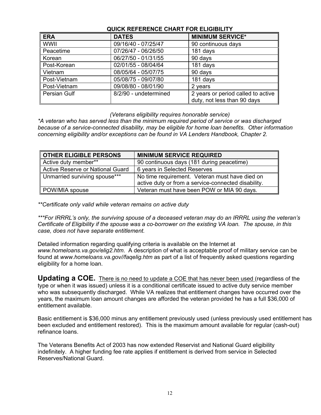| QUICK REFERENCE CHART FOR ELIGIBILIT |                       |                                    |
|--------------------------------------|-----------------------|------------------------------------|
| <b>ERA</b>                           | <b>DATES</b>          | <b>MINIMUM SERVICE*</b>            |
| WWII                                 | 09/16/40 - 07/25/47   | 90 continuous days                 |
| Peacetime                            | 07/26/47 - 06/26/50   | 181 days                           |
| Korean                               | 06/27/50 - 01/31/55   | 90 days                            |
| Post-Korean                          | 02/01/55 - 08/04/64   | 181 days                           |
| Vietnam                              | 08/05/64 - 05/07/75   | 90 days                            |
| Post-Vietnam                         | 05/08/75 - 09/07/80   | 181 days                           |
| Post-Vietnam                         | 09/08/80 - 08/01/90   | 2 years                            |
| Persian Gulf                         | 8/2/90 - undetermined | 2 years or period called to active |
|                                      |                       | duty, not less than 90 days        |

# **QUICK REFERENCE CHART FOR ELIGIBILITY**

*(Veterans eligibility requires honorable service)* 

*\*A veteran who has served less than the minimum required period of service or was discharged because of a service-connected disability, may be eligible for home loan benefits. Other information concerning eligibility and/or exceptions can be found in VA Lenders Handbook, Chapter 2.* 

| <b>OTHER ELIGIBLE PERSONS</b>    | <b>MINIMUM SERVICE REQUIRED</b>                     |
|----------------------------------|-----------------------------------------------------|
| Active duty member**             | 90 continuous days (181 during peacetime)           |
| Active Reserve or National Guard | 6 years in Selected Reserves                        |
| Unmarried surviving spouse***    | No time requirement. Veteran must have died on      |
|                                  | active duty or from a service-connected disability. |
| POW/MIA spouse                   | Veteran must have been POW or MIA 90 days.          |

*\*\*Certificate only valid while veteran remains on active duty* 

*\*\*\*For IRRRL's only, the surviving spouse of a deceased veteran may do an IRRRL using the veteran's Certificate of Eligibility if the spouse was a co-borrower on the existing VA loan. The spouse, in this case, does not have separate entitlement.* 

Detailed information regarding qualifying criteria is available on the Internet at *www.homeloans.va.gov/elig2.htm*. A description of what is acceptable proof of military service can be found at *www.homeloans.va.gov//faqelig.htm* as part of a list of frequently asked questions regarding eligibility for a home loan.

**Updating a COE.** There is no need to update a COE that has never been used (regardless of the type or when it was issued) unless it is a conditional certificate issued to active duty service member who was subsequently discharged. While VA realizes that entitlement changes have occurred over the years, the maximum loan amount changes are afforded the veteran provided he has a full \$36,000 of entitlement available.

Basic entitlement is \$36,000 minus any entitlement previously used (unless previously used entitlement has been excluded and entitlement restored). This is the maximum amount available for regular (cash-out) refinance loans.

The Veterans Benefits Act of 2003 has now extended Reservist and National Guard eligibility indefinitely. A higher funding fee rate applies if entitlement is derived from service in Selected Reserves/National Guard.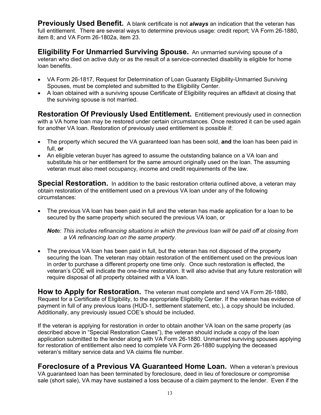**Previously Used Benefit.** A blank certificate is not *always* an indication that the veteran has full entitlement. There are several ways to determine previous usage: credit report; VA Form 26-1880, item 8; and VA Form 26-1802a, item 23.

**Eligibility For Unmarried Surviving Spouse.** An unmarried surviving spouse of a veteran who died on active duty or as the result of a service-connected disability is eligible for home loan benefits.

- VA Form 26-1817, Request for Determination of Loan Guaranty Eligibility-Unmarried Surviving Spouses, must be completed and submitted to the Eligibility Center.
- A loan obtained with a surviving spouse Certificate of Eligibility requires an affidavit at closing that the surviving spouse is not married.

**Restoration Of Previously Used Entitlement.** Entitlement previously used in connection with a VA home loan may be restored under certain circumstances. Once restored it can be used again for another VA loan. Restoration of previously used entitlement is possible if:

- The property which secured the VA guaranteed loan has been sold, **and** the loan has been paid in full, **or**
- An eligible veteran buyer has agreed to assume the outstanding balance on a VA loan and substitute his or her entitlement for the same amount originally used on the loan. The assuming veteran must also meet occupancy, income and credit requirements of the law.

**Special Restoration.** In addition to the basic restoration criteria outlined above, a veteran may obtain restoration of the entitlement used on a previous VA loan under any of the following circumstances:

• The previous VA loan has been paid in full and the veteran has made application for a loan to be secured by the same property which secured the previous VA loan, or

*Not*e: *This includes refinancing situations in which the previous loan will be paid off at closing from a VA refinancing loan on the same property.* 

The previous VA loan has been paid in full, but the veteran has not disposed of the property securing the loan. The veteran may obtain restoration of the entitlement used on the previous loan in order to purchase a different property one time only. Once such restoration is effected, the veteran's COE will indicate the one-time restoration. It will also advise that any future restoration will require disposal of all property obtained with a VA loan.

**How to Apply for Restoration.** The veteran must complete and send VA Form 26-1880, Request for a Certificate of Eligibility, to the appropriate Eligibility Center. If the veteran has evidence of payment in full of any previous loans (HUD-1, settlement statement, etc.), a copy should be included. Additionally, any previously issued COE's should be included.

If the veteran is applying for restoration in order to obtain another VA loan on the same property (as described above in "Special Restoration Cases"), the veteran should include a copy of the loan application submitted to the lender along with VA Form 26-1880. Unmarried surviving spouses applying for restoration of entitlement also need to complete VA Form 26-1880 supplying the deceased veteran's military service data and VA claims file number.

**Foreclosure of a Previous VA Guaranteed Home Loan.** When a veteran's previous VA guaranteed loan has been terminated by foreclosure, deed in lieu of foreclosure or compromise sale (short sale), VA may have sustained a loss because of a claim payment to the lender. Even if the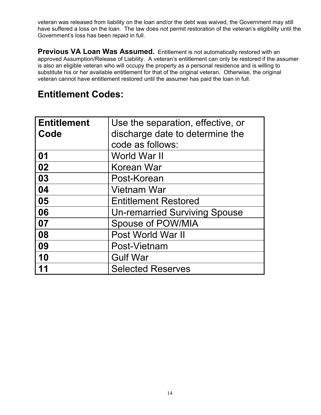veteran was released from liability on the loan and/or the debt was waived, the Government may still have suffered a loss on the loan. The law does not permit restoration of the veteran's eligibility until the Government's loss has been repaid in full.

**Previous VA Loan Was Assumed.** Entitlement is not automatically restored with an approved Assumption/Release of Liability. A veteran's entitlement can only be restored if the assumer is also an eligible veteran who will occupy the property as a personal residence and is willing to substitute his or her available entitlement for that of the original veteran. Otherwise, the original veteran cannot have entitlement restored until the assumer has paid the loan in full.

# **Entitlement Codes:**

| <b>Entitlement</b> | Use the separation, effective, or    |
|--------------------|--------------------------------------|
| Code               | discharge date to determine the      |
|                    | code as follows:                     |
| 01                 | World War II                         |
| 02                 | Korean War                           |
| 03                 | Post-Korean                          |
| 04                 | <b>Vietnam War</b>                   |
| 05                 | <b>Entitlement Restored</b>          |
| 06                 | <b>Un-remarried Surviving Spouse</b> |
| 07                 | <b>Spouse of POW/MIA</b>             |
| 08                 | Post World War II                    |
| 09                 | Post-Vietnam                         |
| 10                 | <b>Gulf War</b>                      |
| 11                 | <b>Selected Reserves</b>             |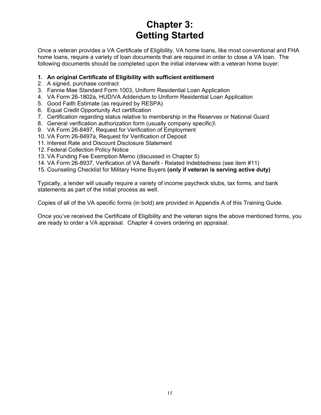# **Chapter 3: Getting Started**

Once a veteran provides a VA Certificate of Eligibility, VA home loans, like most conventional and FHA home loans, require a variety of loan documents that are required in order to close a VA loan. The following documents should be completed upon the initial interview with a veteran home buyer:

# **1. An original Certificate of Eligibility with sufficient entitlement**

- 2. A signed, purchase contract
- 3. Fannie Mae Standard Form 1003, Uniform Residential Loan Application
- 4. VA Form 26-1802a, HUD/VA Addendum to Uniform Residential Loan Application
- 5. Good Faith Estimate (as required by RESPA)
- 6. Equal Credit Opportunity Act certification
- 7. Certification regarding status relative to membership in the Reserves or National Guard
- 8. General verification authorization form (usually company specific)\
- 9. VA Form 26-8497, Request for Verification of Employment
- 10. VA Form 26-8497a, Request for Verification of Deposit
- 11. Interest Rate and Discount Disclosure Statement
- 12. Federal Collection Policy Notice
- 13. VA Funding Fee Exemption Memo (discussed in Chapter 5)
- 14. VA Form 26-8937, Verification of VA Benefit Related Indebtedness (see item #11)
- 15. Counseling Checklist for Military Home Buyers **(only if veteran is serving active duty)**

Typically, a lender will usually require a variety of income paycheck stubs, tax forms, and bank statements as part of the initial process as well.

Copies of all of the VA specific forms (in bold) are provided in Appendix A of this Training Guide.

Once you've received the Certificate of Eligibility and the veteran signs the above mentioned forms, you are ready to order a VA appraisal. Chapter 4 covers ordering an appraisal.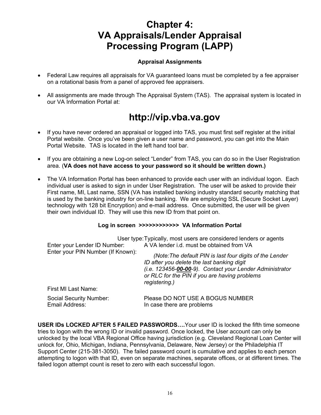# **Chapter 4: VA Appraisals/Lender Appraisal Processing Program (LAPP)**

# **Appraisal Assignments**

- Federal Law requires all appraisals for VA guaranteed loans must be completed by a fee appraiser on a rotational basis from a panel of approved fee appraisers.
- All assignments are made through The Appraisal System (TAS). The appraisal system is located in our VA Information Portal at:

# **http://vip.vba.va.gov**

- If you have never ordered an appraisal or logged into TAS, you must first self register at the initial Portal website. Once you've been given a user name and password, you can get into the Main Portal Website. TAS is located in the left hand tool bar.
- If you are obtaining a new Log-on select "Lender" from TAS, you can do so in the User Registration area. (**VA does not have access to your password so it should be written down.)**
- The VA Information Portal has been enhanced to provide each user with an individual logon. Each individual user is asked to sign in under User Registration. The user will be asked to provide their First name, MI, Last name, SSN (VA has installed banking industry standard security matching that is used by the banking industry for on-line banking. We are employing SSL (Secure Socket Layer) technology with 128 bit Encryption) and e-mail address. Once submitted, the user will be given their own individual ID. They will use this new ID from that point on.

# **Log in screen >>>>>>>>>>>> VA Information Portal**

| Enter your Lender ID Number:              | User type: Typically, most users are considered lenders or agents<br>A VA lender i.d. must be obtained from VA                                                                                                                       |
|-------------------------------------------|--------------------------------------------------------------------------------------------------------------------------------------------------------------------------------------------------------------------------------------|
| Enter your PIN Number (If Known):         | (Note: The default PIN is last four digits of the Lender<br>ID after you delete the last banking digit<br>(i.e. 123456-00-00-9). Contact your Lender Administrator<br>or RLC for the PIN if you are having problems<br>registering.) |
| First MI Last Name:                       |                                                                                                                                                                                                                                      |
| Social Security Number:<br>Email Address: | Please DO NOT USE A BOGUS NUMBER<br>In case there are problems                                                                                                                                                                       |

**USER IDs LOCKED AFTER 5 FAILED PASSWORDS….**Your user ID is locked the fifth time someone tries to logon with the wrong ID or invalid password. Once locked, the User account can only be unlocked by the local VBA Regional Office having jurisdiction (e.g. Cleveland Regional Loan Center will unlock for, Ohio, Michigan, Indiana, Pennsylvania, Delaware, New Jersey) or the Philadelphia IT Support Center (215-381-3050). The failed password count is cumulative and applies to each person attempting to logon with that ID, even on separate machines, separate offices, or at different times. The failed logon attempt count is reset to zero with each successful logon.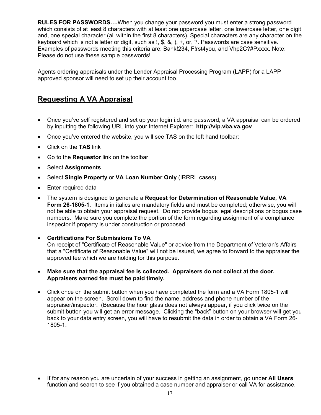**RULES FOR PASSWORDS….**When you change your password you must enter a strong password which consists of at least 8 characters with at least one uppercase letter, one lowercase letter, one digit and, one special character (all within the first 8 characters). Special characters are any character on the keyboard which is not a letter or digit, such as !, \$, &, ), +, or, ?. Passwords are case sensitive. Examples of passwords meeting this criteria are: Bank!234, F!rst4you, and Vhp2C?#Pxxxx. Note: Please do not use these sample passwords!

Agents ordering appraisals under the Lender Appraisal Processing Program (LAPP) for a LAPP approved sponsor will need to set up their account too.

# **Requesting A VA Appraisal**

- Once you've self registered and set up your login i.d. and password, a VA appraisal can be ordered by inputting the following URL into your Internet Explorer: **http://vip.vba.va.gov**
- Once you've entered the website, you will see TAS on the left hand toolbar:
- Click on the **TAS** link
- Go to the **Requestor** link on the toolbar
- Select **Assignments**
- Select **Single Property** or **VA Loan Number Only** (IRRRL cases)
- Enter required data
- The system is designed to generate a **Request for Determination of Reasonable Value, VA Form 26-1805-1**. Items in italics are mandatory fields and must be completed; otherwise, you will not be able to obtain your appraisal request. Do not provide bogus legal descriptions or bogus case numbers. Make sure you complete the portion of the form regarding assignment of a compliance inspector if property is under construction or proposed.
- **Certifications For Submissions To VA** On receipt of "Certificate of Reasonable Value" or advice from the Department of Veteran's Affairs that a "Certificate of Reasonable Value" will not be issued, we agree to forward to the appraiser the approved fee which we are holding for this purpose.
- **Make sure that the appraisal fee is collected. Appraisers do not collect at the door. Appraisers earned fee must be paid timely.**
- Click once on the submit button when you have completed the form and a VA Form 1805-1 will appear on the screen. Scroll down to find the name, address and phone number of the appraiser/inspector. (Because the hour glass does not always appear, if you click twice on the submit button you will get an error message. Clicking the "back" button on your browser will get you back to your data entry screen, you will have to resubmit the data in order to obtain a VA Form 26- 1805-1.

• If for any reason you are uncertain of your success in getting an assignment, go under **All Users** function and search to see if you obtained a case number and appraiser or call VA for assistance.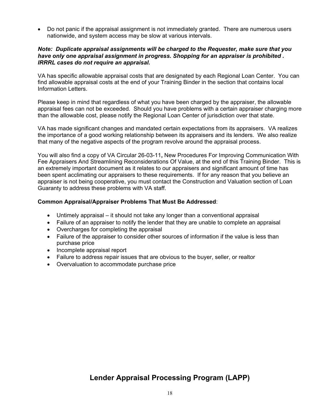• Do not panic if the appraisal assignment is not immediately granted. There are numerous users nationwide, and system access may be slow at various intervals.

#### *Note: Duplicate appraisal assignments will be charged to the Requester, make sure that you have only one appraisal assignment in progress. Shopping for an appraiser is prohibited . IRRRL cases do not require an appraisal.*

VA has specific allowable appraisal costs that are designated by each Regional Loan Center. You can find allowable appraisal costs at the end of your Training Binder in the section that contains local Information Letters.

Please keep in mind that regardless of what you have been charged by the appraiser, the allowable appraisal fees can not be exceeded. Should you have problems with a certain appraiser charging more than the allowable cost, please notify the Regional Loan Center of jurisdiction over that state.

VA has made significant changes and mandated certain expectations from its appraisers. VA realizes the importance of a good working relationship between its appraisers and its lenders. We also realize that many of the negative aspects of the program revolve around the appraisal process.

You will also find a copy of VA Circular 26-03-11**,** New Procedures For Improving Communication With Fee Appraisers And Streamlining Reconsiderations Of Value, at the end of this Training Binder. This is an extremely important document as it relates to our appraisers and significant amount of time has been spent acclimating our appraisers to these requirements. If for any reason that you believe an appraiser is not being cooperative, you must contact the Construction and Valuation section of Loan Guaranty to address these problems with VA staff.

#### **Common Appraisal/Appraiser Problems That Must Be Addressed**:

- Untimely appraisal it should not take any longer than a conventional appraisal
- Failure of an appraiser to notify the lender that they are unable to complete an appraisal
- Overcharges for completing the appraisal
- Failure of the appraiser to consider other sources of information if the value is less than purchase price
- Incomplete appraisal report
- Failure to address repair issues that are obvious to the buyer, seller, or realtor
- Overvaluation to accommodate purchase price

# **Lender Appraisal Processing Program (LAPP)**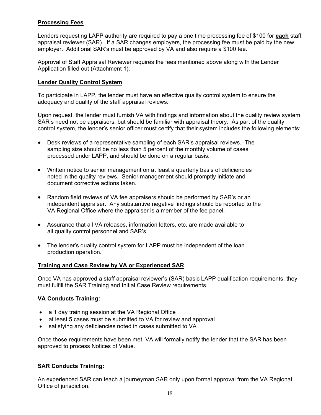# **Processing Fees**

Lenders requesting LAPP authority are required to pay a one time processing fee of \$100 for **each** staff appraisal reviewer (SAR). If a SAR changes employers, the processing fee must be paid by the new employer. Additional SAR's must be approved by VA and also require a \$100 fee.

Approval of Staff Appraisal Reviewer requires the fees mentioned above along with the Lender Application filled out (Attachment 1).

### **Lender Quality Control System**

To participate in LAPP, the lender must have an effective quality control system to ensure the adequacy and quality of the staff appraisal reviews.

Upon request, the lender must furnish VA with findings and information about the quality review system. SAR's need not be appraisers, but should be familiar with appraisal theory. As part of the quality control system, the lender's senior officer must certify that their system includes the following elements:

- Desk reviews of a representative sampling of each SAR's appraisal reviews. The sampling size should be no less than 5 percent of the monthly volume of cases processed under LAPP, and should be done on a regular basis.
- Written notice to senior management on at least a quarterly basis of deficiencies noted in the quality reviews. Senior management should promptly initiate and document corrective actions taken.
- Random field reviews of VA fee appraisers should be performed by SAR's or an independent appraiser. Any substantive negative findings should be reported to the VA Regional Office where the appraiser is a member of the fee panel.
- Assurance that all VA releases, information letters, etc. are made available to all quality control personnel and SAR's
- The lender's quality control system for LAPP must be independent of the loan production operation.

# **Training and Case Review by VA or Experienced SAR**

Once VA has approved a staff appraisal reviewer's (SAR) basic LAPP qualification requirements, they must fulfill the SAR Training and Initial Case Review requirements.

# **VA Conducts Training:**

- a 1 day training session at the VA Regional Office
- at least 5 cases must be submitted to VA for review and approval
- satisfying any deficiencies noted in cases submitted to VA

Once those requirements have been met, VA will formally notify the lender that the SAR has been approved to process Notices of Value.

# **SAR Conducts Training:**

An experienced SAR can teach a journeyman SAR only upon formal approval from the VA Regional Office of jurisdiction.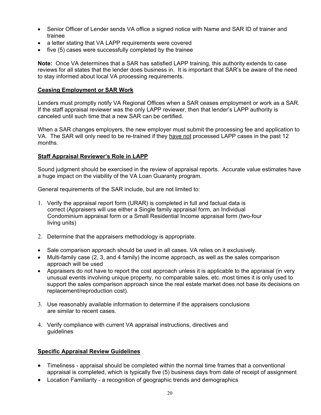- Senior Officer of Lender sends VA office a signed notice with Name and SAR ID of trainer and trainee
- a letter stating that VA LAPP requirements were covered
- five (5) cases were successfully completed by the trainee

**Note:** Once VA determines that a SAR has satisfied LAPP training, this authority extends to case reviews for all states that the lender does business in. It is important that SAR's be aware of the need to stay informed about local VA processing requirements.

### **Ceasing Employment or SAR Work**

Lenders must promptly notify VA Regional Offices when a SAR ceases employment or work as a SAR. If the staff appraisal reviewer was the only LAPP reviewer, then that lender's LAPP authority is canceled until such time that a new SAR can be certified.

When a SAR changes employers, the new employer must submit the processing fee and application to VA. The SAR will only need to be re-trained if they have not processed LAPP cases in the past 12 months.

#### **Staff Appraisal Reviewer's Role in LAPP**

Sound judgment should be exercised in the review of appraisal reports. Accurate value estimates have a huge impact on the viability of the VA Loan Guaranty program.

General requirements of the SAR include, but are not limited to:

- 1. Verify the appraisal report form (URAR) is completed in full and factual data is correct (Appraisers will use either a Single family appraisal form, an Individual Condominium appraisal form or a Small Residential Income appraisal form (two-four living units)
- 2. Determine that the appraisers methodology is appropriate.
- Sale comparison approach should be used in all cases. VA relies on it exclusively.
- Multi-family case (2, 3, and 4 family) the income approach, as well as the sales comparison approach will be used
- Appraisers do not have to report the cost approach unless it is applicable to the appraisal (in very unusual events involving unique property, no comparable sales, etc. most times it is only used to support the sales comparison approach since the real estate market does not base its decisions on replacement/reproduction cost).
- 3. Use reasonably available information to determine if the appraisers conclusions are similar to recent cases.
- 4. Verify compliance with current VA appraisal instructions, directives and guidelines

# **Specific Appraisal Review Guidelines**

- Timeliness appraisal should be completed within the normal time frames that a conventional appraisal is completed, which is typically five (5) business days from date of receipt of assignment
- Location Familiarity a recognition of geographic trends and demographics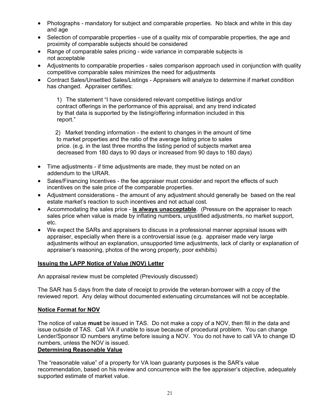- Photographs mandatory for subject and comparable properties. No black and white in this day and age
- Selection of comparable properties use of a quality mix of comparable properties, the age and proximity of comparable subjects should be considered
- Range of comparable sales pricing wide variance in comparable subjects is not acceptable
- Adjustments to comparable properties sales comparison approach used in conjunction with quality competitive comparable sales minimizes the need for adjustments
- Contract Sales/Unsettled Sales/Listings Appraisers will analyze to determine if market condition has changed. Appraiser certifies:

1) The statement "I have considered relevant competitive listings and/or contract offerings in the performance of this appraisal, and any trend indicated by that data is supported by the listing/offering information included in this report."

 2) Market trending information - the extent to changes in the amount of time to market properties and the ratio of the average listing price to sales price. (e.g. in the last three months the listing period of subjects market area decreased from 180 days to 90 days or increased from 90 days to 180 days)

- Time adjustments if time adjustments are made, they must be noted on an addendum to the URAR.
- Sales/Financing Incentives the fee appraiser must consider and report the effects of such incentives on the sale price of the comparable properties.
- Adjustment considerations the amount of any adjustment should generally be based on the real estate market's reaction to such incentives and not actual cost.
- Accommodating the sales price **is always unacceptable**. (Pressure on the appraiser to reach sales price when value is made by inflating numbers, unjustified adjustments, no market support, etc.
- We expect the SARs and appraisers to discuss in a professional manner appraisal issues with appraiser, especially when there is a controversial issue (e.g. appraiser made very large adjustments without an explanation, unsupported time adjustments, lack of clarity or explanation of appraiser's reasoning, photos of the wrong property, poor exhibits)

# **Issuing the LAPP Notice of Value (NOV) Letter**

An appraisal review must be completed (Previously discussed)

The SAR has 5 days from the date of receipt to provide the veteran-borrower with a copy of the reviewed report. Any delay without documented extenuating circumstances will not be acceptable.

# **Notice Format for NOV**

The notice of value **must** be issued in TAS. Do not make a copy of a NOV, then fill in the data and issue outside of TAS. Call VA if unable to issue because of procedural problem. You can change Lender/Sponsor ID numbers anytime before issuing a NOV. You do not have to call VA to change ID numbers, unless the NOV is issued.

# **Determining Reasonable Value**

The "reasonable value" of a property for VA loan guaranty purposes is the SAR's value recommendation, based on his review and concurrence with the fee appraiser's objective, adequately supported estimate of market value.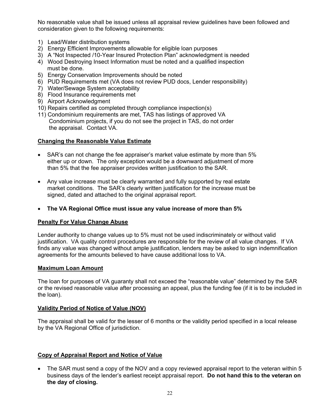No reasonable value shall be issued unless all appraisal review guidelines have been followed and consideration given to the following requirements:

- 1) Lead/Water distribution systems
- 2) Energy Efficient Improvements allowable for eligible loan purposes
- 3) A "Not Inspected /10-Year Insured Protection Plan" acknowledgment is needed
- 4) Wood Destroying Insect Information must be noted and a qualified inspection must be done.
- 5) Energy Conservation Improvements should be noted
- 6) PUD Requirements met (VA does not review PUD docs, Lender responsibility)
- 7) Water/Sewage System acceptability
- 8) Flood Insurance requirements met
- 9) Airport Acknowledgment
- 10) Repairs certified as completed through compliance inspection(s)
- 11) Condominium requirements are met, TAS has listings of approved VA Condominium projects, if you do not see the project in TAS, do not order the appraisal. Contact VA.

# **Changing the Reasonable Value Estimate**

- SAR's can not change the fee appraiser's market value estimate by more than 5% either up or down. The only exception would be a downward adjustment of more than 5% that the fee appraiser provides written justification to the SAR.
- Any value increase must be clearly warranted and fully supported by real estate market conditions. The SAR's clearly written justification for the increase must be signed, dated and attached to the original appraisal report.
- **The VA Regional Office must issue any value increase of more than 5%**

# **Penalty For Value Change Abuse**

Lender authority to change values up to 5% must not be used indiscriminately or without valid justification. VA quality control procedures are responsible for the review of all value changes. If VA finds any value was changed without ample justification, lenders may be asked to sign indemnification agreements for the amounts believed to have cause additional loss to VA.

# **Maximum Loan Amount**

The loan for purposes of VA guaranty shall not exceed the "reasonable value" determined by the SAR or the revised reasonable value after processing an appeal, plus the funding fee (if it is to be included in the loan).

# **Validity Period of Notice of Value (NOV)**

The appraisal shall be valid for the lesser of 6 months or the validity period specified in a local release by the VA Regional Office of jurisdiction.

# **Copy of Appraisal Report and Notice of Value**

• The SAR must send a copy of the NOV and a copy reviewed appraisal report to the veteran within 5 business days of the lender's earliest receipt appraisal report. **Do not hand this to the veteran on the day of closing.**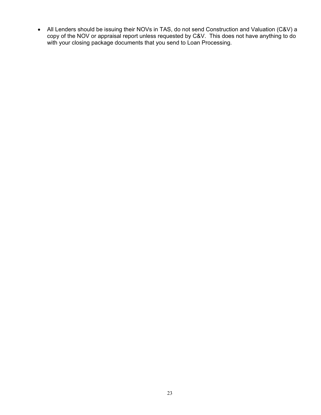• All Lenders should be issuing their NOVs in TAS, do not send Construction and Valuation (C&V) a copy of the NOV or appraisal report unless requested by C&V. This does not have anything to do with your closing package documents that you send to Loan Processing.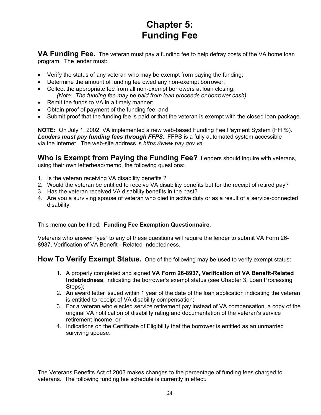# **Chapter 5: Funding Fee**

**VA Funding Fee.** The veteran must pay a funding fee to help defray costs of the VA home loan program. The lender must:

- Verify the status of any veteran who may be exempt from paying the funding;
- Determine the amount of funding fee owed any non-exempt borrower;
- Collect the appropriate fee from all non-exempt borrowers at loan closing; *(Note: The funding fee may be paid from loan proceeds or borrower cash)*
- Remit the funds to VA in a timely manner;
- Obtain proof of payment of the funding fee; and
- Submit proof that the funding fee is paid or that the veteran is exempt with the closed loan package.

**NOTE:** On July 1, 2002, VA implemented a new web-based Funding Fee Payment System (FFPS). *Lenders must pay funding fees through FFPS.* FFPS is a fully automated system accessible via the Internet. The web-site address is *https://www.pay.gov.va*.

**Who is Exempt from Paying the Funding Fee?** Lenders should inquire with veterans, using their own letterhead/memo, the following questions:

- 1. Is the veteran receiving VA disability benefits ?
- 2. Would the veteran be entitled to receive VA disability benefits but for the receipt of retired pay?
- 3. Has the veteran received VA disability benefits in the past?
- 4. Are you a surviving spouse of veteran who died in active duty or as a result of a service-connected disability.

This memo can be titled: **Funding Fee Exemption Questionnaire**.

Veterans who answer "yes" to any of these questions will require the lender to submit VA Form 26- 8937, Verification of VA Benefit - Related Indebtedness.

**How To Verify Exempt Status.** One of the following may be used to verify exempt status:

- 1. A properly completed and signed **VA Form 26-8937, Verification of VA Benefit-Related Indebtedness**, indicating the borrower's exempt status (see Chapter 3, Loan Processing Steps);
- 2. An award letter issued within 1 year of the date of the loan application indicating the veteran is entitled to receipt of VA disability compensation;
- 3. For a veteran who elected service retirement pay instead of VA compensation, a copy of the original VA notification of disability rating and documentation of the veteran's service retirement income, or
- 4. Indications on the Certificate of Eligibility that the borrower is entitled as an unmarried surviving spouse.

The Veterans Benefits Act of 2003 makes changes to the percentage of funding fees charged to veterans. The following funding fee schedule is currently in effect.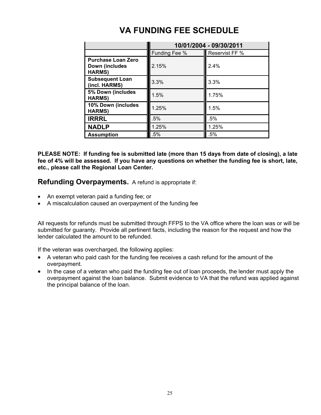|                                                              | 10/01/2004 - 09/30/2011 |                |  |
|--------------------------------------------------------------|-------------------------|----------------|--|
|                                                              | Funding Fee %           | Reservist FF % |  |
| <b>Purchase Loan Zero</b><br>Down (includes<br><b>HARMS)</b> | 2.15%                   | 2.4%           |  |
| <b>Subsequent Loan</b><br>(incl. HARMS)                      | 3.3%                    | 3.3%           |  |
| 5% Down (includes<br><b>HARMS)</b>                           | 1.5%                    | 1.75%          |  |
| 10% Down (includes<br><b>HARMS)</b>                          | 1.25%                   | 1.5%           |  |
| <b>IRRRL</b>                                                 | .5%                     | .5%            |  |
| <b>NADLP</b>                                                 | 1.25%                   | 1.25%          |  |
| <b>Assumption</b>                                            | $.5\%$                  | .5%            |  |

# **VA FUNDING FEE SCHEDULE**

**PLEASE NOTE: If funding fee is submitted late (more than 15 days from date of closing), a late fee of 4% will be assessed. If you have any questions on whether the funding fee is short, late, etc., please call the Regional Loan Center.** 

**Refunding Overpayments.** A refund is appropriate if:

- An exempt veteran paid a funding fee; or
- A miscalculation caused an overpayment of the funding fee

All requests for refunds must be submitted through FFPS to the VA office where the loan was or will be submitted for guaranty. Provide all pertinent facts, including the reason for the request and how the lender calculated the amount to be refunded.

If the veteran was overcharged, the following applies:

- A veteran who paid cash for the funding fee receives a cash refund for the amount of the overpayment.
- In the case of a veteran who paid the funding fee out of loan proceeds, the lender must apply the overpayment against the loan balance. Submit evidence to VA that the refund was applied against the principal balance of the loan.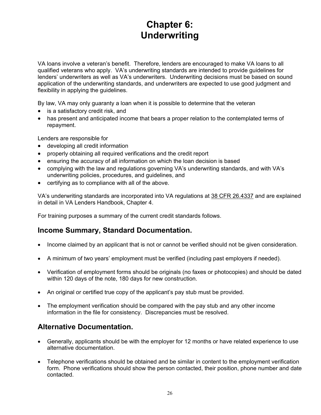# **Chapter 6: Underwriting**

VA loans involve a veteran's benefit. Therefore, lenders are encouraged to make VA loans to all qualified veterans who apply. VA's underwriting standards are intended to provide guidelines for lenders' underwriters as well as VA's underwriters. Underwriting decisions must be based on sound application of the underwriting standards, and underwriters are expected to use good judgment and flexibility in applying the guidelines.

By law, VA may only guaranty a loan when it is possible to determine that the veteran

- is a satisfactory credit risk, and
- has present and anticipated income that bears a proper relation to the contemplated terms of repayment.

Lenders are responsible for

- developing all credit information
- properly obtaining all required verifications and the credit report
- ensuring the accuracy of all information on which the loan decision is based
- complying with the law and regulations governing VA's underwriting standards, and with VA's underwriting policies, procedures, and guidelines, and
- certifying as to compliance with all of the above.

VA's underwriting standards are incorporated into VA regulations at 38 CFR 26.4337 and are explained in detail in VA Lenders Handbook, Chapter 4.

For training purposes a summary of the current credit standards follows.

# **Income Summary, Standard Documentation.**

- Income claimed by an applicant that is not or cannot be verified should not be given consideration.
- A minimum of two years' employment must be verified (including past employers if needed).
- Verification of employment forms should be originals (no faxes or photocopies) and should be dated within 120 days of the note, 180 days for new construction.
- An original or certified true copy of the applicant's pay stub must be provided.
- The employment verification should be compared with the pay stub and any other income information in the file for consistency. Discrepancies must be resolved.

# **Alternative Documentation.**

- Generally, applicants should be with the employer for 12 months or have related experience to use alternative documentation.
- Telephone verifications should be obtained and be similar in content to the employment verification form. Phone verifications should show the person contacted, their position, phone number and date contacted.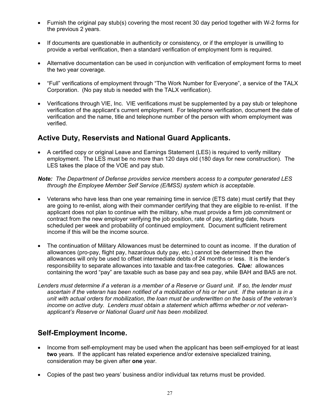- Furnish the original pay stub(s) covering the most recent 30 day period together with W-2 forms for the previous 2 years.
- If documents are questionable in authenticity or consistency, or if the employer is unwilling to provide a verbal verification, then a standard verification of employment form is required.
- Alternative documentation can be used in conjunction with verification of employment forms to meet the two year coverage.
- "Full" verifications of employment through "The Work Number for Everyone", a service of the TALX Corporation. (No pay stub is needed with the TALX verification).
- Verifications through VIE, Inc. VIE verifications must be supplemented by a pay stub or telephone verification of the applicant's current employment. For telephone verification, document the date of verification and the name, title and telephone number of the person with whom employment was verified.

# **Active Duty, Reservists and National Guard Applicants.**

• A certified copy or original Leave and Earnings Statement (LES) is required to verify military employment. The LES must be no more than 120 days old (180 days for new construction). The LES takes the place of the VOE and pay stub.

*Note: The Department of Defense provides service members access to a computer generated LES through the Employee Member Self Service (E/MSS) system which is acceptable.*

- Veterans who have less than one year remaining time in service (ETS date) must certify that they are going to re-enlist, along with their commander certifying that they are eligible to re-enlist. If the applicant does not plan to continue with the military, s/he must provide a firm job commitment or contract from the new employer verifying the job position, rate of pay, starting date, hours scheduled per week and probability of continued employment. Document sufficient retirement income if this will be the income source.
- The continuation of Military Allowances must be determined to count as income. If the duration of allowances (pro-pay, flight pay, hazardous duty pay, etc.) cannot be determined then the allowances will only be used to offset intermediate debts of 24 months or less. It is the lender's responsibility to separate allowances into taxable and tax-free categories. **C***lue:* allowances containing the word "pay" are taxable such as base pay and sea pay, while BAH and BAS are not.
- *Lenders must determine if a veteran is a member of a Reserve or Guard unit. If so, the lender must ascertain if the veteran has been notified of a mobilization of his or her unit. If the veteran is in a unit with actual orders for mobilization, the loan must be underwritten on the basis of the veteran's income on active duty. Lenders must obtain a statement which affirms whether or not veteranapplicant's Reserve or National Guard unit has been mobilized.*

# **Self-Employment Income.**

- Income from self-employment may be used when the applicant has been self-employed for at least **two** years. If the applicant has related experience and/or extensive specialized training, consideration may be given after **one** year.
- Copies of the past two years' business and/or individual tax returns must be provided.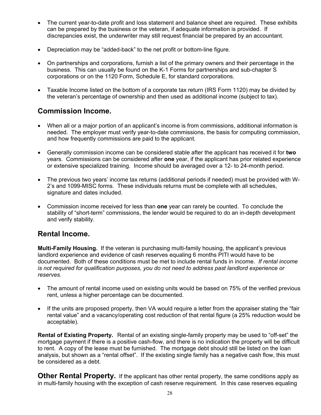- The current year-to-date profit and loss statement and balance sheet are required. These exhibits can be prepared by the business or the veteran, if adequate information is provided. If discrepancies exist, the underwriter may still request financial be prepared by an accountant.
- Depreciation may be "added-back" to the net profit or bottom-line figure.
- On partnerships and corporations, furnish a list of the primary owners and their percentage in the business. This can usually be found on the K-1 Forms for partnerships and sub-chapter S corporations or on the 1120 Form, Schedule E, for standard corporations.
- Taxable Income listed on the bottom of a corporate tax return (IRS Form 1120) may be divided by the veteran's percentage of ownership and then used as additional income (subject to tax).

# **Commission Income.**

- When all or a major portion of an applicant's income is from commissions, additional information is needed. The employer must verify year-to-date commissions, the basis for computing commission, and how frequently commissions are paid to the applicant.
- Generally commission income can be considered stable after the applicant has received it for **two** years. Commissions can be considered after **one** year, if the applicant has prior related experience or extensive specialized training. Income should be averaged over a 12- to 24-month period.
- The previous two years' income tax returns (additional periods if needed) must be provided with W-2's and 1099-MISC forms. These individuals returns must be complete with all schedules, signature and dates included.
- Commission income received for less than **one** year can rarely be counted. To conclude the stability of "short-term" commissions, the lender would be required to do an in-depth development and verify stability.

# **Rental Income.**

**Multi-Family Housing.** If the veteran is purchasing multi-family housing, the applicant's previous landlord experience and evidence of cash reserves equaling 6 months PITI would have to be documented. Both of these conditions must be met to include rental funds in income. *If rental income is not required for qualification purposes, you do not need to address past landlord experience or reserves.* 

- The amount of rental income used on existing units would be based on 75% of the verified previous rent, unless a higher percentage can be documented.
- If the units are proposed property, then VA would require a letter from the appraiser stating the "fair rental value" and a vacancy/operating cost reduction of that rental figure (a 25% reduction would be acceptable).

**Rental of Existing Property.** Rental of an existing single-family property may be used to "off-set" the mortgage payment if there is a positive cash-flow, and there is no indication the property will be difficult to rent. A copy of the lease must be furnished. The mortgage debt should still be listed on the loan analysis, but shown as a "rental offset". If the existing single family has a negative cash flow, this must be considered as a debt.

**Other Rental Property.** If the applicant has other rental property, the same conditions apply as in multi-family housing with the exception of cash reserve requirement. In this case reserves equaling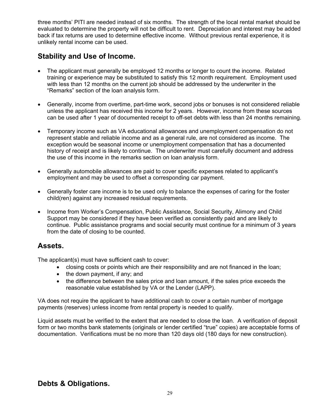three months' PITI are needed instead of six months. The strength of the local rental market should be evaluated to determine the property will not be difficult to rent. Depreciation and interest may be added back if tax returns are used to determine effective income. Without previous rental experience, it is unlikely rental income can be used.

# **Stability and Use of Income.**

- The applicant must generally be employed 12 months or longer to count the income. Related training or experience may be substituted to satisfy this 12 month requirement. Employment used with less than 12 months on the current job should be addressed by the underwriter in the "Remarks" section of the loan analysis form.
- Generally, income from overtime, part-time work, second jobs or bonuses is not considered reliable unless the applicant has received this income for 2 years. However, income from these sources can be used after 1 year of documented receipt to off-set debts with less than 24 months remaining.
- Temporary income such as VA educational allowances and unemployment compensation do not represent stable and reliable income and as a general rule, are not considered as income. The exception would be seasonal income or unemployment compensation that has a documented history of receipt and is likely to continue. The underwriter must carefully document and address the use of this income in the remarks section on loan analysis form.
- Generally automobile allowances are paid to cover specific expenses related to applicant's employment and may be used to offset a corresponding car payment.
- Generally foster care income is to be used only to balance the expenses of caring for the foster child(ren) against any increased residual requirements.
- Income from Worker's Compensation, Public Assistance, Social Security, Alimony and Child Support may be considered if they have been verified as consistently paid and are likely to continue. Public assistance programs and social security must continue for a minimum of 3 years from the date of closing to be counted.

# **Assets.**

The applicant(s) must have sufficient cash to cover:

- closing costs or points which are their responsibility and are not financed in the loan;
- the down payment, if any; and
- the difference between the sales price and loan amount, if the sales price exceeds the reasonable value established by VA or the Lender (LAPP).

VA does not require the applicant to have additional cash to cover a certain number of mortgage payments (reserves) unless income from rental property is needed to qualify.

Liquid assets must be verified to the extent that are needed to close the loan. A verification of deposit form or two months bank statements (originals or lender certified "true" copies) are acceptable forms of documentation. Verifications must be no more than 120 days old (180 days for new construction).

# **Debts & Obligations.**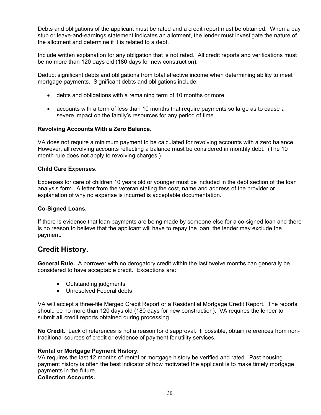Debts and obligations of the applicant must be rated and a credit report must be obtained. When a pay stub or leave-and-earnings statement indicates an allotment, the lender must investigate the nature of the allotment and determine if it is related to a debt.

Include written explanation for any obligation that is not rated. All credit reports and verifications must be no more than 120 days old (180 days for new construction).

Deduct significant debts and obligations from total effective income when determining ability to meet mortgage payments. Significant debts and obligations include:

- debts and obligations with a remaining term of 10 months or more
- accounts with a term of less than 10 months that require payments so large as to cause a severe impact on the family's resources for any period of time.

#### **Revolving Accounts With a Zero Balance.**

VA does not require a minimum payment to be calculated for revolving accounts with a zero balance. However, all revolving accounts reflecting a balance must be considered in monthly debt. (The 10 month rule does not apply to revolving charges.)

#### **Child Care Expenses.**

Expenses for care of children 10 years old or younger must be included in the debt section of the loan analysis form. A letter from the veteran stating the cost, name and address of the provider or explanation of why no expense is incurred is acceptable documentation.

#### **Co-Signed Loans.**

If there is evidence that loan payments are being made by someone else for a co-signed loan and there is no reason to believe that the applicant will have to repay the loan, the lender may exclude the payment.

# **Credit History.**

**General Rule.** A borrower with no derogatory credit within the last twelve months can generally be considered to have acceptable credit. Exceptions are:

- Outstanding judgments
- Unresolved Federal debts

VA will accept a three-file Merged Credit Report or a Residential Mortgage Credit Report. The reports should be no more than 120 days old (180 days for new construction). VA requires the lender to submit **all** credit reports obtained during processing.

**No Credit.** Lack of references is not a reason for disapproval. If possible, obtain references from nontraditional sources of credit or evidence of payment for utility services.

#### **Rental or Mortgage Payment History.**

VA requires the last 12 months of rental or mortgage history be verified and rated. Past housing payment history is often the best indicator of how motivated the applicant is to make timely mortgage payments in the future.

# **Collection Accounts.**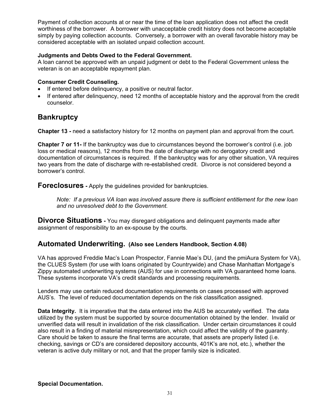Payment of collection accounts at or near the time of the loan application does not affect the credit worthiness of the borrower. A borrower with unacceptable credit history does not become acceptable simply by paying collection accounts. Conversely, a borrower with an overall favorable history may be considered acceptable with an isolated unpaid collection account.

# **Judgments and Debts Owed to the Federal Government.**

A loan cannot be approved with an unpaid judgment or debt to the Federal Government unless the veteran is on an acceptable repayment plan.

# **Consumer Credit Counseling.**

- If entered before delinquency, a positive or neutral factor.
- If entered after delinquency, need 12 months of acceptable history and the approval from the credit counselor.

# **Bankruptcy**

**Chapter 13 -** need a satisfactory history for 12 months on payment plan and approval from the court.

**Chapter 7 or 11-** If the bankruptcy was due to circumstances beyond the borrower's control (i.e. job loss or medical reasons), 12 months from the date of discharge with no derogatory credit and documentation of circumstances is required. If the bankruptcy was for any other situation, VA requires two years from the date of discharge with re-established credit. Divorce is not considered beyond a borrower's control.

**Foreclosures -** Apply the guidelines provided for bankruptcies.

*Note: If a previous VA loan was involved assure there is sufficient entitlement for the new loan and no unresolved debt to the Government.* 

**Divorce Situations** - You may disregard obligations and delinguent payments made after assignment of responsibility to an ex-spouse by the courts.

# **Automated Underwriting. (Also see Lenders Handbook, Section 4.08)**

VA has approved Freddie Mac's Loan Prospector, Fannie Mae's DU, (and the pmiAura System for VA), the CLUES System (for use with loans originated by Countrywide) and Chase Manhattan Mortgage's Zippy automated underwriting systems (AUS) for use in connections with VA guaranteed home loans. These systems incorporate VA's credit standards and processing requirements.

Lenders may use certain reduced documentation requirements on cases processed with approved AUS's. The level of reduced documentation depends on the risk classification assigned.

**Data Integrity.** It is imperative that the data entered into the AUS be accurately verified. The data utilized by the system must be supported by source documentation obtained by the lender. Invalid or unverified data will result in invalidation of the risk classification. Under certain circumstances it could also result in a finding of material misrepresentation, which could affect the validity of the guaranty. Care should be taken to assure the final terms are accurate, that assets are properly listed (i.e. checking, savings or CD's are considered depository accounts, 401K's are not, etc.), whether the veteran is active duty military or not, and that the proper family size is indicated.

# **Special Documentation.**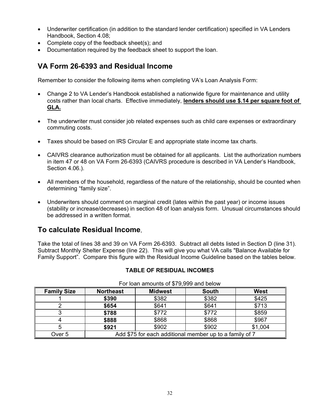- Underwriter certification (in addition to the standard lender certification) specified in VA Lenders Handbook, Section 4.08;
- Complete copy of the feedback sheet(s); and
- Documentation required by the feedback sheet to support the loan.

# **VA Form 26-6393 and Residual Income**

Remember to consider the following items when completing VA's Loan Analysis Form:

- Change 2 to VA Lender's Handbook established a nationwide figure for maintenance and utility costs rather than local charts. Effective immediately, **lenders should use \$.14 per square foot of GLA.**
- The underwriter must consider job related expenses such as child care expenses or extraordinary commuting costs.
- Taxes should be based on IRS Circular E and appropriate state income tax charts.
- CAIVRS clearance authorization must be obtained for all applicants. List the authorization numbers in item 47 or 48 on VA Form 26-6393 (CAIVRS procedure is described in VA Lender's Handbook, Section 4.06.).
- All members of the household, regardless of the nature of the relationship, should be counted when determining "family size".
- Underwriters should comment on marginal credit (lates within the past year) or income issues (stability or increase/decreases) in section 48 of loan analysis form. Unusual circumstances should be addressed in a written format.

# **To calculate Residual Income**,

Take the total of lines 38 and 39 on VA Form 26-6393. Subtract all debts listed in Section D (line 31). Subtract Monthly Shelter Expense (line 22). This will give you what VA calls "Balance Available for Family Support". Compare this figure with the Residual Income Guideline based on the tables below.

| <u>i oi iodh dhiodhlo oi wro.ooo dhu bolow</u> |                                                         |                |              |             |
|------------------------------------------------|---------------------------------------------------------|----------------|--------------|-------------|
| <b>Family Size</b>                             | <b>Northeast</b>                                        | <b>Midwest</b> | <b>South</b> | <b>West</b> |
|                                                | \$390                                                   | \$382          | \$382        | \$425       |
|                                                | \$654                                                   | \$641          | \$641        | \$713       |
|                                                | \$788                                                   | \$772          | \$772        | \$859       |
|                                                | \$888                                                   | \$868          | \$868        | \$967       |
|                                                | \$921                                                   | \$902          | \$902        | \$1,004     |
| Over 5                                         | Add \$75 for each additional member up to a family of 7 |                |              |             |

**TABLE OF RESIDUAL INCOMES** 

For loan amounts of \$79,999 and below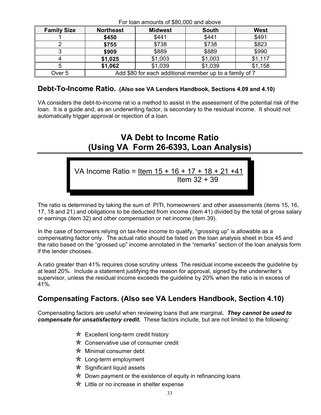| $\frac{1}{1}$ or roam announto or $\psi$ oo,ooo and above |                                                         |                |              |             |
|-----------------------------------------------------------|---------------------------------------------------------|----------------|--------------|-------------|
| <b>Family Size</b>                                        | <b>Northeast</b>                                        | <b>Midwest</b> | <b>South</b> | <b>West</b> |
|                                                           | \$450                                                   | \$441          | \$441        | \$491       |
|                                                           | \$755                                                   | \$738          | \$738        | \$823       |
|                                                           | \$909                                                   | \$889          | \$889        | \$990       |
|                                                           | \$1,025                                                 | \$1,003        | \$1,003      | \$1,117     |
|                                                           | \$1,062                                                 | \$1,039        | \$1,039      | \$1,158     |
| Over <sub>5</sub>                                         | Add \$80 for each additional member up to a family of 7 |                |              |             |

#### For loan amounts of \$80,000 and above

# **Debt-To-Income Ratio. (Also see VA Lenders Handbook, Sections 4.09 and 4.10)**

VA considers the debt-to-income rat io a method to assist in the assessment of the potential risk of the loan. It is a guide and, as an underwriting factor, is secondary to the residual income. It should not automatically trigger approval or rejection of a loan.

# **VA Debt to Income Ratio (Using VA Form 26-6393, Loan Analysis)**

VA Income Ratio = Item 15 + 16 + 17 + 18 + 21 +41 Item 32 + 39

The ratio is determined by taking the sum of PITI, homeowners' and other assessments (items 15, 16, 17, 18 and 21) and obligations to be deducted from income (item 41) divided by the total of gross salary or earnings (item 32) and other compensation or net income (item 39).

In the case of borrowers relying on tax-free income to qualify, "grossing up" is allowable as a compensating factor only. The actual ratio should be listed on the loan analysis sheet in box 45 and the ratio based on the "grossed up" income annotated in the "remarks" section of the loan analysis form if the lender chooses.

A ratio greater than 41% requires close scrutiny unless The residual income exceeds the guideline by at least 20%. Include a statement justifying the reason for approval, signed by the underwriter's supervisor, unless the residual income exceeds the guideline by 20% when the ratio is in excess of 41%.

# **Compensating Factors. (Also see VA Lenders Handbook, Section 4.10)**

Compensating factors are useful when reviewing loans that are marginal*. They cannot be used to compensate for unsatisfactory credit.* These factors include, but are not limited to the following:

- $\frac{1}{\sqrt{2}}$  Excellent long-term credit history
- ✯ Conservative use of consumer credit
- $\hat{\mathbf{x}}$  Minimal consumer debt
- $\frac{1}{\mathcal{K}}$  Long-term employment
- $\star$  Significant liquid assets
- $\hat{\mathcal{R}}$  Down payment or the existence of equity in refinancing loans
- ✯ Little or no increase in shelter expense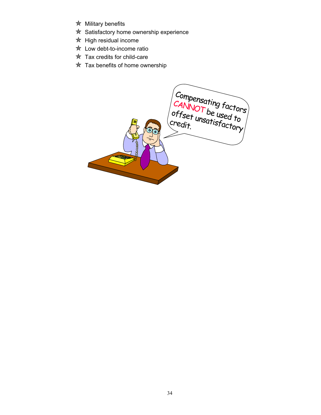- ✯ Military benefits
- **★ Satisfactory home ownership experience**
- $*$  High residual income
- $\star$  Low debt-to-income ratio
- $\star$  Tax credits for child-care
- $*$  Tax benefits of home ownership

Compensating factors CANNOT be used to offset unsatisfactory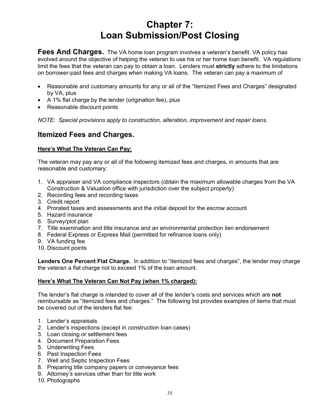# **Chapter 7: Loan Submission/Post Closing**

**Fees And Charges.** The VA home loan program involves a veteran's benefit. VA policy has evolved around the objective of helping the veteran to use his or her home loan benefit. VA regulations limit the fees that the veteran can pay to obtain a loan. Lenders must **strictly** adhere to the limitations on borrower-paid fees and charges when making VA loans. The veteran can pay a maximum of

- Reasonable and customary amounts for any or all of the "Itemized Fees and Charges" designated by VA, plus
- A 1% flat charge by the lender (origination fee), plus
- Reasonable discount points

*NOTE: Special provisions apply to construction, alteration, improvement and repair loans.*

# **Itemized Fees and Charges.**

#### **Here's What The Veteran Can Pay:**

The veteran may pay any or all of the following itemized fees and charges, in amounts that are reasonable and customary:

- 1. VA appraiser and VA compliance inspectors (obtain the maximum allowable charges from the VA Construction & Valuation office with jurisdiction over the subject property)
- 2. Recording fees and recording taxes
- 3. Credit report
- 4. Prorated taxes and assessments and the initial deposit for the escrow account
- 5. Hazard insurance
- 6. Survey/plot plan
- 7. Title examination and title insurance and an environmental protection lien endorsement
- 8. Federal Express or Express Mail (permitted for refinance loans only)
- 9. VA funding fee
- 10. Discount points

**Lenders One Percent Flat Charge.** In addition to "itemized fees and charges", the lender may charge the veteran a flat charge not to exceed 1% of the loan amount.

#### **Here's What The Veteran Can Not Pay (when 1% charged):**

The lender's flat charge is intended to cover all of the lender's costs and services which are **not** reimbursable as "itemized fees and charges." The following list provides examples of items that must be covered out of the lenders flat fee:

- 1. Lender's appraisals
- 2. Lender's inspections (except in construction loan cases)
- 3. Loan closing or settlement fees
- 4. Document Preparation Fees
- 5. Underwriting Fees
- 6. Pest Inspection Fees
- 7. Well and Septic Inspection Fees
- 8. Preparing title company papers or conveyance fees
- 9. Attorney's services other than for title work
- 10. Photographs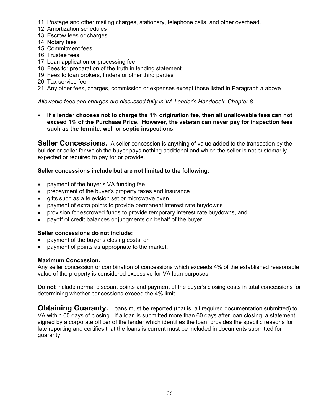- 11. Postage and other mailing charges, stationary, telephone calls, and other overhead.
- 12. Amortization schedules
- 13. Escrow fees or charges
- 14. Notary fees
- 15. Commitment fees
- 16. Trustee fees
- 17. Loan application or processing fee
- 18. Fees for preparation of the truth in lending statement
- 19. Fees to loan brokers, finders or other third parties
- 20. Tax service fee
- 21. Any other fees, charges, commission or expenses except those listed in Paragraph a above

#### *Allowable fees and charges are discussed fully in VA Lender's Handbook, Chapter 8.*

• **If a lender chooses not to charge the 1% origination fee, then all unallowable fees can not exceed 1% of the Purchase Price. However, the veteran can never pay for inspection fees such as the termite, well or septic inspections.** 

**Seller Concessions.** A seller concession is anything of value added to the transaction by the builder or seller for which the buyer pays nothing additional and which the seller is not customarily expected or required to pay for or provide.

#### **Seller concessions include but are not limited to the following:**

- payment of the buyer's VA funding fee
- prepayment of the buyer's property taxes and insurance
- gifts such as a television set or microwave oven
- payment of extra points to provide permanent interest rate buydowns
- provision for escrowed funds to provide temporary interest rate buydowns, and
- payoff of credit balances or judgments on behalf of the buyer.

### **Seller concessions do not include:**

- payment of the buyer's closing costs, or
- payment of points as appropriate to the market.

#### **Maximum Concession.**

Any seller concession or combination of concessions which exceeds 4% of the established reasonable value of the property is considered excessive for VA loan purposes.

Do **not** include normal discount points and payment of the buyer's closing costs in total concessions for determining whether concessions exceed the 4% limit.

**Obtaining Guaranty.** Loans must be reported (that is, all required documentation submitted) to VA within 60 days of closing. If a loan is submitted more than 60 days after loan closing, a statement signed by a corporate officer of the lender which identifies the loan, provides the specific reasons for late reporting and certifies that the loans is current must be included in documents submitted for guaranty.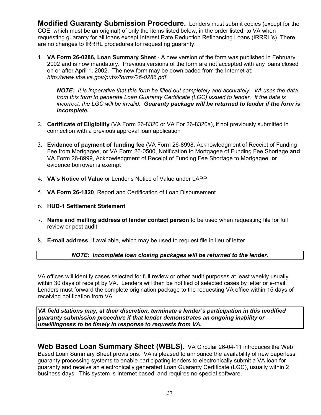**Modified Guaranty Submission Procedure.** Lenders must submit copies (except for the COE, which must be an original) of only the items listed below, in the order listed, to VA when requesting guaranty for all loans except Interest Rate Reduction Refinancing Loans (IRRRL's). There are no changes to IRRRL procedures for requesting guaranty.

1. **VA Form 26-0286, Loan Summary Sheet** - A new version of the form was published in February 2002 and is now mandatory. Previous versions of the form are not accepted with any loans closed on or after April 1, 2002. The new form may be downloaded from the Internet at: *http://www.vba.va.gov/pubs/forms/26-0286.pdf*

*NOTE: It is imperative that this form be filled out completely and accurately. VA uses the data from this form to generate Loan Guaranty Certificate (LGC) issued to lender. If the data is incorrect, the LGC will be invalid. Guaranty package will be returned to lender if the form is incomplete.*

- 2. **Certificate of Eligibility** (VA Form 26-8320 or VA For 26-8320a), if not previously submitted in connection with a previous approval loan application
- 3. **Evidence of payment of funding fee** (VA Form 26-8998, Acknowledgment of Receipt of Funding Fee from Mortgagee, **or** VA Form 26-0500, Notification to Mortgagee of Funding Fee Shortage **and**  VA Form 26-8999, Acknowledgment of Receipt of Funding Fee Shortage to Mortgagee, **or**  evidence borrower is exempt
- 4. **VA's Notice of Value** or Lender's Notice of Value under LAPP
- 5. **VA Form 26-1820**, Report and Certification of Loan Disbursement
- 6. **HUD-1 Settlement Statement**
- 7. **Name and mailing address of lender contact person** to be used when requesting file for full review or post audit
- 8. **E-mail address**, if available, which may be used to request file in lieu of letter

# *NOTE: Incomplete loan closing packages will be returned to the lender.*

VA offices will identify cases selected for full review or other audit purposes at least weekly usually within 30 days of receipt by VA. Lenders will then be notified of selected cases by letter or e-mail. Lenders must forward the complete origination package to the requesting VA office within 15 days of receiving notification from VA.

*VA field stations may, at their discretion, terminate a lender's participation in this modified guaranty submission procedure if that lender demonstrates an ongoing inability or unwillingness to be timely in response to requests from VA.* 

**Web Based Loan Summary Sheet (WBLS).** VA Circular 26-04-11 introduces the Web Based Loan Summary Sheet provisions. VA is pleased to announce the availability of new paperless guaranty processing systems to enable participating lenders to electronically submit a VA loan for guaranty and receive an electronically generated Loan Guaranty Certificate (LGC), usually within 2 business days. This system is Internet based, and requires no special software.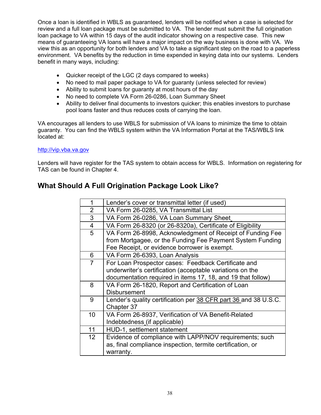Once a loan is identified in WBLS as guaranteed, lenders will be notified when a case is selected for review and a full loan package must be submitted to VA. The lender must submit the full origination loan package to VA within 15 days of the audit indicator showing on a respective case. This new means of guaranteeing VA loans will have a major impact on the way business is done with VA. We view this as an opportunity for both lenders and VA to take a significant step on the road to a paperless environment. VA benefits by the reduction in time expended in keying data into our systems. Lenders benefit in many ways, including:

- Quicker receipt of the LGC (2 days compared to weeks)
- No need to mail paper package to VA for guaranty (unless selected for review)
- Ability to submit loans for guaranty at most hours of the day
- No need to complete VA Form 26-0286, Loan Summary Sheet
- Ability to deliver final documents to investors quicker; this enables investors to purchase pool loans faster and thus reduces costs of carrying the loan.

VA encourages all lenders to use WBLS for submission of VA loans to minimize the time to obtain guaranty. You can find the WBLS system within the VA Information Portal at the TAS/WBLS link located at:

#### http://vip.vba.va.gov

Lenders will have register for the TAS system to obtain access for WBLS. Information on registering for TAS can be found in Chapter 4.

# **What Should A Full Origination Package Look Like?**

| 1               | Lender's cover or transmittal letter (if used)                  |
|-----------------|-----------------------------------------------------------------|
| $\overline{2}$  | VA Form 26-0285, VA Transmittal List                            |
| 3               | VA Form 26-0286, VA Loan Summary Sheet                          |
| $\overline{4}$  | VA Form 26-8320 (or 26-8320a), Certificate of Eligibility       |
| 5               | VA Form 26-8998, Acknowledgment of Receipt of Funding Fee       |
|                 | from Mortgagee, or the Funding Fee Payment System Funding       |
|                 | Fee Receipt, or evidence borrower is exempt.                    |
| 6               | VA Form 26-6393, Loan Analysis                                  |
| 7               | For Loan Prospector cases: Feedback Certificate and             |
|                 | underwriter's certification (acceptable variations on the       |
|                 | documentation required in items 17, 18, and 19 that follow)     |
| 8               | VA Form 26-1820, Report and Certification of Loan               |
|                 | <b>Disbursement</b>                                             |
| 9               | Lender's quality certification per 38 CFR part 36 and 38 U.S.C. |
|                 | Chapter 37                                                      |
| 10              | VA Form 26-8937, Verification of VA Benefit-Related             |
|                 | Indebtedness (if applicable)                                    |
| 11              | HUD-1, settlement statement                                     |
| 12 <sup>2</sup> | Evidence of compliance with LAPP/NOV requirements; such         |
|                 | as, final compliance inspection, termite certification, or      |
|                 | warranty.                                                       |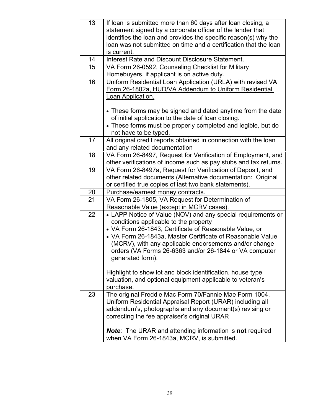| 13 | If loan is submitted more than 60 days after loan closing, a               |
|----|----------------------------------------------------------------------------|
|    | statement signed by a corporate officer of the lender that                 |
|    | identifies the loan and provides the specific reason(s) why the            |
|    | loan was not submitted on time and a certification that the loan           |
|    | is current.                                                                |
| 14 | Interest Rate and Discount Disclosure Statement.                           |
| 15 | VA Form 26-0592, Counseling Checklist for Military                         |
|    | Homebuyers, if applicant is on active duty.                                |
| 16 | Uniform Residential Loan Application (URLA) with revised VA                |
|    | Form 26-1802a, HUD/VA Addendum to Uniform Residential                      |
|    | Loan Application.                                                          |
|    |                                                                            |
|    | • These forms may be signed and dated anytime from the date                |
|    | of initial application to the date of loan closing.                        |
|    | • These forms must be properly completed and legible, but do               |
|    | not have to be typed.                                                      |
| 17 | All original credit reports obtained in connection with the loan           |
|    | and any related documentation                                              |
| 18 | VA Form 26-8497, Request for Verification of Employment, and               |
|    | other verifications of income such as pay stubs and tax returns.           |
| 19 | VA Form 26-8497a, Request for Verification of Deposit, and                 |
|    | other related documents (Alternative documentation: Original               |
|    | or certified true copies of last two bank statements).                     |
| 20 | Purchase/earnest money contracts.                                          |
| 21 | VA Form 26-1805, VA Request for Determination of                           |
|    | Reasonable Value (except in MCRV cases).                                   |
| 22 | • LAPP Notice of Value (NOV) and any special requirements or               |
|    | conditions applicable to the property                                      |
|    | • VA Form 26-1843, Certificate of Reasonable Value, or                     |
|    | • VA Form 26-1843a, Master Certificate of Reasonable Value                 |
|    | (MCRV), with any applicable endorsements and/or change                     |
|    | orders (VA Forms 26-6363 and/or 26-1844 or VA computer<br>generated form). |
|    |                                                                            |
|    | Highlight to show lot and block identification, house type                 |
|    | valuation, and optional equipment applicable to veteran's                  |
|    | purchase.                                                                  |
| 23 | The original Freddie Mac Form 70/Fannie Mae Form 1004,                     |
|    | Uniform Residential Appraisal Report (URAR) including all                  |
|    | addendum's, photographs and any document(s) revising or                    |
|    | correcting the fee appraiser's original URAR                               |
|    |                                                                            |
|    | <b>Note:</b> The URAR and attending information is <b>not</b> required     |
|    | when VA Form 26-1843a, MCRV, is submitted.                                 |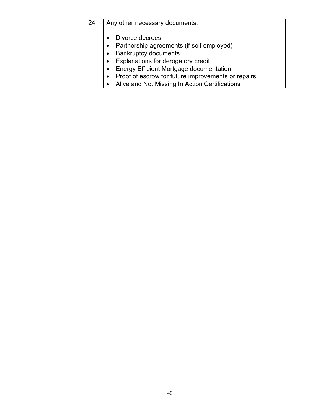| 24 | Any other necessary documents:                     |  |
|----|----------------------------------------------------|--|
|    | Divorce decrees                                    |  |
|    | Partnership agreements (if self employed)          |  |
|    | <b>Bankruptcy documents</b>                        |  |
|    | Explanations for derogatory credit                 |  |
|    | Energy Efficient Mortgage documentation            |  |
|    | Proof of escrow for future improvements or repairs |  |
|    | Alive and Not Missing In Action Certifications     |  |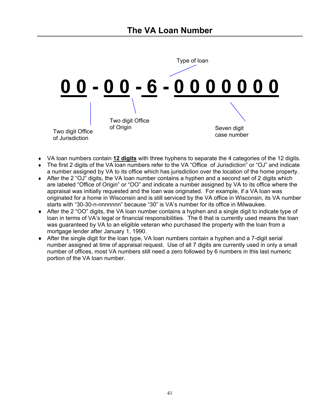

- ♦ VA loan numbers contain **12 digits** with three hyphens to separate the 4 categories of the 12 digits.
- ♦ The first 2 digits of the VA loan numbers refer to the VA "Office of Jurisdiction" or "OJ" and indicate a number assigned by VA to its office which has jurisdiction over the location of the home property.
- ♦ After the 2 "OJ" digits, the VA loan number contains a hyphen and a second set of 2 digits which are labeled "Office of Origin" or "OO" and indicate a number assigned by VA to its office where the appraisal was initially requested and the loan was originated. For example, if a VA loan was originated for a home in Wisconsin and is still serviced by the VA office in Wisconsin, its VA number starts with "30-30-n-nnnnnnn" because "30" is VA's number for its office in Milwaukee.
- ♦ After the 2 "OO" digits, the VA loan number contains a hyphen and a single digit to indicate type of loan in terms of VA's legal or financial responsibilities. The 6 that is currently used means the loan was guaranteed by VA to an eligible veteran who purchased the property with the loan from a mortgage lender after January 1, 1990.
- ♦ After the single digit for the loan type, VA loan numbers contain a hyphen and a 7-digit serial number assigned at time of appraisal request. Use of all 7 digits are currently used in only a small number of offices, most VA numbers still need a zero followed by 6 numbers in this last numeric portion of the VA loan number.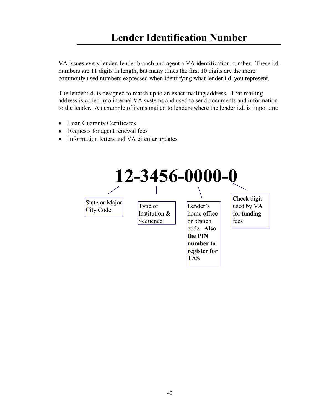# **Lender Identification Number**

VA issues every lender, lender branch and agent a VA identification number. These i.d. numbers are 11 digits in length, but many times the first 10 digits are the more commonly used numbers expressed when identifying what lender i.d. you represent.

The lender i.d. is designed to match up to an exact mailing address. That mailing address is coded into internal VA systems and used to send documents and information to the lender. An example of items mailed to lenders where the lender i.d. is important:

- Loan Guaranty Certificates
- Requests for agent renewal fees
- Information letters and VA circular updates

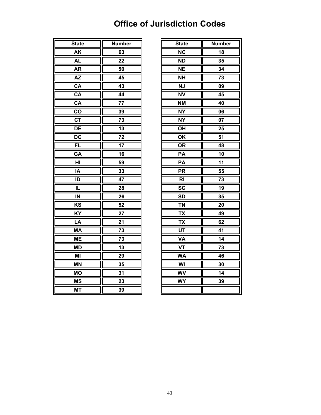# **Office of Jurisdiction Codes**

| $\overline{\mathsf{N}}\mathsf{C}$<br>AK<br>18<br>63<br><b>AL</b><br>22<br><b>ND</b><br>35<br><b>AR</b><br><b>NE</b><br>$\frac{34}{5}$<br>50<br><b>AZ</b><br>45<br><b>NH</b><br><b>NJ</b><br>CA<br>43<br>CA<br><b>NV</b><br>44<br>$\overline{\mathsf{CA}}$<br>$\overline{77}$<br><b>NM</b><br>CO<br>39<br><b>NY</b><br>$\overline{\text{c} \text{T}}$<br><b>NY</b><br>73<br>DE<br>$\overline{13}$<br>OH<br>$\overline{DC}$<br>$\overline{72}$<br>OK<br>FL<br>17<br><b>OR</b><br>GA<br>16<br>PA<br>HI<br>PA<br>59<br>33<br>$\overline{\mathsf{PR}}$<br>IA<br>$\overline{\mathsf{R}}$<br>47<br>ID<br>$\overline{\text{sc}}$<br>IL<br>28<br><b>SD</b><br>IN<br>26<br>52<br><b>TN</b><br>KS<br>$\overline{KY}$<br>$\overline{27}$<br><b>TX</b><br>21<br><b>TX</b><br>LA<br>UT<br><b>MA</b><br>73<br><b>ME</b><br>73<br><b>VA</b><br><b>VT</b><br><b>MD</b><br>13<br>$\overline{M}$<br>29<br><b>WA</b><br><b>MN</b><br>WI<br>35<br><b>WV</b><br><b>MO</b><br>31<br><b>MS</b><br>23<br><b>WY</b> | Ī<br><b>State</b>                    | <b>Number</b> | <b>State</b> | <b>Numb</b>     |
|-------------------------------------------------------------------------------------------------------------------------------------------------------------------------------------------------------------------------------------------------------------------------------------------------------------------------------------------------------------------------------------------------------------------------------------------------------------------------------------------------------------------------------------------------------------------------------------------------------------------------------------------------------------------------------------------------------------------------------------------------------------------------------------------------------------------------------------------------------------------------------------------------------------------------------------------------------------------------------------------|--------------------------------------|---------------|--------------|-----------------|
|                                                                                                                                                                                                                                                                                                                                                                                                                                                                                                                                                                                                                                                                                                                                                                                                                                                                                                                                                                                           |                                      |               |              |                 |
|                                                                                                                                                                                                                                                                                                                                                                                                                                                                                                                                                                                                                                                                                                                                                                                                                                                                                                                                                                                           |                                      |               |              |                 |
|                                                                                                                                                                                                                                                                                                                                                                                                                                                                                                                                                                                                                                                                                                                                                                                                                                                                                                                                                                                           |                                      |               |              |                 |
|                                                                                                                                                                                                                                                                                                                                                                                                                                                                                                                                                                                                                                                                                                                                                                                                                                                                                                                                                                                           |                                      |               |              |                 |
|                                                                                                                                                                                                                                                                                                                                                                                                                                                                                                                                                                                                                                                                                                                                                                                                                                                                                                                                                                                           |                                      |               |              | 73              |
|                                                                                                                                                                                                                                                                                                                                                                                                                                                                                                                                                                                                                                                                                                                                                                                                                                                                                                                                                                                           |                                      |               |              | 09              |
|                                                                                                                                                                                                                                                                                                                                                                                                                                                                                                                                                                                                                                                                                                                                                                                                                                                                                                                                                                                           |                                      |               |              | $\overline{4}5$ |
|                                                                                                                                                                                                                                                                                                                                                                                                                                                                                                                                                                                                                                                                                                                                                                                                                                                                                                                                                                                           |                                      |               |              | 40              |
|                                                                                                                                                                                                                                                                                                                                                                                                                                                                                                                                                                                                                                                                                                                                                                                                                                                                                                                                                                                           |                                      |               |              | 06              |
|                                                                                                                                                                                                                                                                                                                                                                                                                                                                                                                                                                                                                                                                                                                                                                                                                                                                                                                                                                                           |                                      |               |              | 07              |
|                                                                                                                                                                                                                                                                                                                                                                                                                                                                                                                                                                                                                                                                                                                                                                                                                                                                                                                                                                                           |                                      |               |              | 25              |
|                                                                                                                                                                                                                                                                                                                                                                                                                                                                                                                                                                                                                                                                                                                                                                                                                                                                                                                                                                                           |                                      |               |              | 51              |
|                                                                                                                                                                                                                                                                                                                                                                                                                                                                                                                                                                                                                                                                                                                                                                                                                                                                                                                                                                                           |                                      |               |              | 48              |
|                                                                                                                                                                                                                                                                                                                                                                                                                                                                                                                                                                                                                                                                                                                                                                                                                                                                                                                                                                                           |                                      |               |              | 10              |
|                                                                                                                                                                                                                                                                                                                                                                                                                                                                                                                                                                                                                                                                                                                                                                                                                                                                                                                                                                                           |                                      |               |              | 11              |
|                                                                                                                                                                                                                                                                                                                                                                                                                                                                                                                                                                                                                                                                                                                                                                                                                                                                                                                                                                                           |                                      |               |              | 55              |
|                                                                                                                                                                                                                                                                                                                                                                                                                                                                                                                                                                                                                                                                                                                                                                                                                                                                                                                                                                                           |                                      |               |              | 73              |
|                                                                                                                                                                                                                                                                                                                                                                                                                                                                                                                                                                                                                                                                                                                                                                                                                                                                                                                                                                                           |                                      |               |              | $\overline{19}$ |
|                                                                                                                                                                                                                                                                                                                                                                                                                                                                                                                                                                                                                                                                                                                                                                                                                                                                                                                                                                                           |                                      |               |              | $\frac{35}{2}$  |
|                                                                                                                                                                                                                                                                                                                                                                                                                                                                                                                                                                                                                                                                                                                                                                                                                                                                                                                                                                                           |                                      |               |              | $20\,$          |
|                                                                                                                                                                                                                                                                                                                                                                                                                                                                                                                                                                                                                                                                                                                                                                                                                                                                                                                                                                                           |                                      |               |              | 49              |
|                                                                                                                                                                                                                                                                                                                                                                                                                                                                                                                                                                                                                                                                                                                                                                                                                                                                                                                                                                                           |                                      |               |              | 62              |
|                                                                                                                                                                                                                                                                                                                                                                                                                                                                                                                                                                                                                                                                                                                                                                                                                                                                                                                                                                                           |                                      |               |              | 41              |
|                                                                                                                                                                                                                                                                                                                                                                                                                                                                                                                                                                                                                                                                                                                                                                                                                                                                                                                                                                                           |                                      |               |              | 14              |
|                                                                                                                                                                                                                                                                                                                                                                                                                                                                                                                                                                                                                                                                                                                                                                                                                                                                                                                                                                                           |                                      |               |              | 73              |
|                                                                                                                                                                                                                                                                                                                                                                                                                                                                                                                                                                                                                                                                                                                                                                                                                                                                                                                                                                                           |                                      |               |              | 46              |
|                                                                                                                                                                                                                                                                                                                                                                                                                                                                                                                                                                                                                                                                                                                                                                                                                                                                                                                                                                                           |                                      |               |              | 30              |
|                                                                                                                                                                                                                                                                                                                                                                                                                                                                                                                                                                                                                                                                                                                                                                                                                                                                                                                                                                                           |                                      |               |              | 14              |
|                                                                                                                                                                                                                                                                                                                                                                                                                                                                                                                                                                                                                                                                                                                                                                                                                                                                                                                                                                                           |                                      |               |              | 39              |
|                                                                                                                                                                                                                                                                                                                                                                                                                                                                                                                                                                                                                                                                                                                                                                                                                                                                                                                                                                                           | $\overline{\mathsf{L}}$<br><b>MT</b> | 39            |              |                 |

| <b>State</b>    | <b>Number</b> | <b>State</b>           | <b>Number</b>   |
|-----------------|---------------|------------------------|-----------------|
| <b>AK</b>       | 63            | $\overline{\text{NC}}$ | 18              |
| <b>AL</b>       | 22            | <b>ND</b>              | 35              |
| <b>AR</b>       | 50            | <b>NE</b>              | 34              |
| <b>AZ</b>       | 45            | <b>NH</b>              | 73              |
| CA              | 43            | <b>NJ</b>              | 09              |
| CA              | 44            | <b>NV</b>              | 45              |
| CA              | 77            | <b>NM</b>              | 40              |
| co              | 39            | <b>NY</b>              | 06              |
| <b>CT</b>       | 73            | <b>NY</b>              | 07              |
| DE              | 13            | OH                     | 25              |
| $\overline{DC}$ | 72            | OK                     | $\overline{51}$ |
| <b>FL</b>       | 17            | <b>OR</b>              | 48              |
| GA              | 16            | PA                     | 10              |
| HI              | 59            | PA                     | 11              |
| IA              | 33            | <b>PR</b>              | 55              |
| ID              | 47            | R <sub>l</sub>         | 73              |
| IL              | 28            | $\overline{\text{sc}}$ | $\overline{19}$ |
| IN              | 26            | <b>SD</b>              | 35              |
| KS              | 52            | <b>TN</b>              | 20              |
| KY              | 27            | <b>TX</b>              | 49              |
| LA              | 21            | <b>TX</b>              | 62              |
| <b>MA</b>       | 73            | <b>UT</b>              | 41              |
| <b>ME</b>       | 73            | VA                     | 14              |
| <b>MD</b>       | 13            | <b>VT</b>              | 73              |
| MI              | 29            | <b>WA</b>              | 46              |
| <b>MN</b>       | 35            | WI                     | 30              |
| <b>MO</b>       | 31            | <b>WV</b>              | 14              |
| <b>MS</b>       | 23            | <b>WY</b>              | 39              |
| <b>MT</b>       | 39            |                        |                 |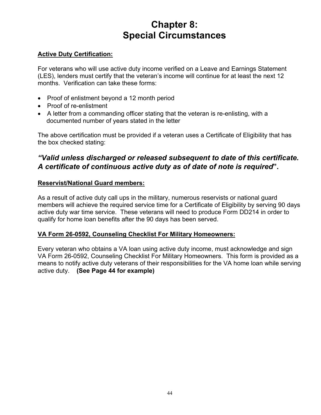# **Chapter 8: Special Circumstances**

# **Active Duty Certification:**

For veterans who will use active duty income verified on a Leave and Earnings Statement (LES), lenders must certify that the veteran's income will continue for at least the next 12 months. Verification can take these forms:

- Proof of enlistment beyond a 12 month period
- Proof of re-enlistment
- A letter from a commanding officer stating that the veteran is re-enlisting, with a documented number of years stated in the letter

The above certification must be provided if a veteran uses a Certificate of Eligibility that has the box checked stating:

# *"Valid unless discharged or released subsequent to date of this certificate. A certificate of continuous active duty as of date of note is required***".**

# **Reservist/National Guard members:**

As a result of active duty call ups in the military, numerous reservists or national guard members will achieve the required service time for a Certificate of Eligibility by serving 90 days active duty war time service. These veterans will need to produce Form DD214 in order to qualify for home loan benefits after the 90 days has been served.

# **VA Form 26-0592, Counseling Checklist For Military Homeowners:**

Every veteran who obtains a VA loan using active duty income, must acknowledge and sign VA Form 26-0592, Counseling Checklist For Military Homeowners. This form is provided as a means to notify active duty veterans of their responsibilities for the VA home loan while serving active duty. **(See Page 44 for example)**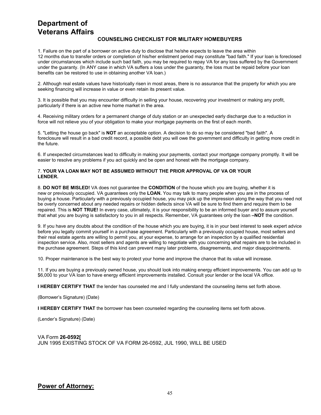# **Department of Veterans Affairs**

#### **COUNSELING CHECKLIST FOR MILITARY HOMEBUYERS**

1. Failure on the part of a borrower on active duty to disclose that he/she expects to leave the area within 12 months due to transfer orders or completion of his/her enlistment period may constitute "bad faith." If your loan is foreclosed under circumstances which include such bad faith, you may be required to repay VA for any loss suffered by the Government under the guaranty. (In ANY case in which VA suffers a loss under the guaranty, the loss must be repaid before your loan benefits can be restored to use in obtaining another VA loan.)

2. Although real estate values have historically risen in most areas, there is no assurance that the property for which you are seeking financing will increase in value or even retain its present value.

3. It is possible that you may encounter difficulty in selling your house, recovering your investment or making any profit, particularly if there is an active new home market in the area.

4. Receiving military orders for a permanent change of duty station or an unexpected early discharge due to a reduction in force will not relieve you of your obligation to make your mortgage payments on the first of each month.

5. "Letting the house go back" is **NOT** an acceptable option. A decision to do so may be considered "bad faith". A foreclosure will result in a bad credit record, a possible debt you will owe the government and difficulty in getting more credit in the future.

6. If unexpected circumstances lead to difficulty in making your payments, contact your mortgage company promptly. It will be easier to resolve any problems if you act quickly and be open and honest with the mortgage company.

#### 7. **YOUR VA LOAN MAY NOT BE ASSUMED WITHOUT THE PRIOR APPROVAL OF VA OR YOUR LENDER.**

8. **DO NOT BE MISLED!** VA does not guarantee the **CONDITION** of the house which you are buying, whether it is new or previously occupied. VA guarantees only the **LOAN.** You may talk to many people when you are in the process of buying a house. Particularly with a previously occupied house, you may pick up the impression along the way that you need not be overly concerned about any needed repairs or hidden defects since VA will be sure to find them and require them to be repaired. This is **NOT TRUE!** In every case, ultimately, it is your responsibility to be an informed buyer and to assure yourself that what you are buying is satisfactory to you in all respects. Remember, VA guarantees only the loan **–NOT** the condition.

9. If you have any doubts about the condition of the house which you are buying, it is in your best interest to seek expert advice before you legally commit yourself in a purchase agreement. Particularly with a previously occupied house, most sellers and their real estate agents are willing to permit you, at your expense, to arrange for an inspection by a qualified residential inspection service. Also, most sellers and agents are willing to negotiate with you concerning what repairs are to be included in the purchase agreement. Steps of this kind can prevent many later problems, disagreements, and major disappointments.

10. Proper maintenance is the best way to protect your home and improve the chance that its value will increase.

11. If you are buying a previously owned house, you should look into making energy efficient improvements. You can add up to \$6,000 to your VA loan to have energy efficient improvements installed. Consult your lender or the local VA office.

**I HEREBY CERTIFY THAT** the lender has counseled me and I fully understand the counseling items set forth above.

(Borrower's Signature) (Date)

**I HEREBY CERTIFY THAT** the borrower has been counseled regarding the counseling items set forth above.

(Lender's Signature) (Date)

VA Form **26-0592[** JUN 1995 EXISTING STOCK OF VA FORM 26-0592, JUL 1990, WILL BE USED

# **Power of Attorney:**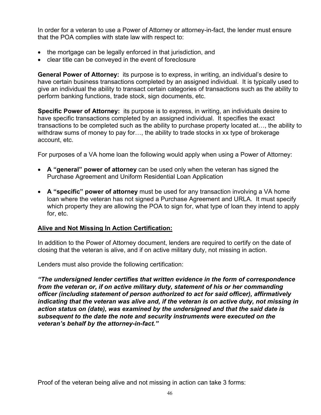In order for a veteran to use a Power of Attorney or attorney-in-fact, the lender must ensure that the POA complies with state law with respect to:

- the mortgage can be legally enforced in that jurisdiction, and
- clear title can be conveyed in the event of foreclosure

**General Power of Attorney:** its purpose is to express, in writing, an individual's desire to have certain business transactions completed by an assigned individual. It is typically used to give an individual the ability to transact certain categories of transactions such as the ability to perform banking functions, trade stock, sign documents, etc.

**Specific Power of Attorney:** its purpose is to express, in writing, an individuals desire to have specific transactions completed by an assigned individual. It specifies the exact transactions to be completed such as the ability to purchase property located at…, the ability to withdraw sums of money to pay for..., the ability to trade stocks in xx type of brokerage account, etc.

For purposes of a VA home loan the following would apply when using a Power of Attorney:

- **A "general" power of attorney** can be used only when the veteran has signed the Purchase Agreement and Uniform Residential Loan Application
- **A "specific" power of attorney** must be used for any transaction involving a VA home loan where the veteran has not signed a Purchase Agreement and URLA. It must specify which property they are allowing the POA to sign for, what type of loan they intend to apply for, etc.

# **Alive and Not Missing In Action Certification:**

In addition to the Power of Attorney document, lenders are required to certify on the date of closing that the veteran is alive, and if on active military duty, not missing in action.

Lenders must also provide the following certification:

*"The undersigned lender certifies that written evidence in the form of correspondence from the veteran or, if on active military duty, statement of his or her commanding officer (including statement of person authorized to act for said officer), affirmatively indicating that the veteran was alive and, if the veteran is on active duty, not missing in action status on (date), was examined by the undersigned and that the said date is subsequent to the date the note and security instruments were executed on the veteran's behalf by the attorney-in-fact."* 

Proof of the veteran being alive and not missing in action can take 3 forms: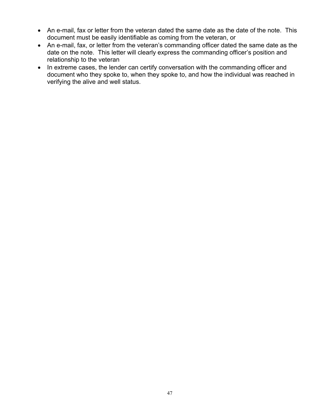- An e-mail, fax or letter from the veteran dated the same date as the date of the note. This document must be easily identifiable as coming from the veteran, or
- An e-mail, fax, or letter from the veteran's commanding officer dated the same date as the date on the note. This letter will clearly express the commanding officer's position and relationship to the veteran
- In extreme cases, the lender can certify conversation with the commanding officer and document who they spoke to, when they spoke to, and how the individual was reached in verifying the alive and well status.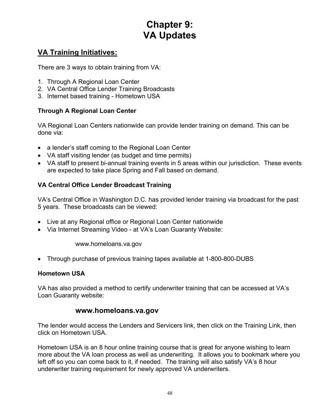# **Chapter 9: VA Updates**

# **VA Training Initiatives:**

There are 3 ways to obtain training from VA:

- 1. Through A Regional Loan Center
- 2. VA Central Office Lender Training Broadcasts
- 3. Internet based training Hometown USA

# **Through A Regional Loan Center**

VA Regional Loan Centers nationwide can provide lender training on demand. This can be done via:

- a lender's staff coming to the Regional Loan Center
- VA staff visiting lender (as budget and time permits)
- VA staff to present bi-annual training events in 5 areas within our jurisdiction. These events are expected to take place Spring and Fall based on demand.

# **VA Central Office Lender Broadcast Training**

VA's Central Office in Washington D.C. has provided lender training via broadcast for the past 5 years. These broadcasts can be viewed:

- Live at any Regional office or Regional Loan Center nationwide
- Via Internet Streaming Video at VA's Loan Guaranty Website:

www.homeloans.va.gov

• Through purchase of previous training tapes available at 1-800-800-DUBS

# **Hometown USA**

VA has also provided a method to certify underwriter training that can be accessed at VA's Loan Guaranty website:

# **www.homeloans.va.gov**

The lender would access the Lenders and Servicers link, then click on the Training Link, then click on Hometown USA.

Hometown USA is an 8 hour online training course that is great for anyone wishing to learn more about the VA loan process as well as underwriting. It allows you to bookmark where you left off so you can come back to it, if needed. The training will also satisfy VA's 8 hour underwriter training requirement for newly approved VA underwriters.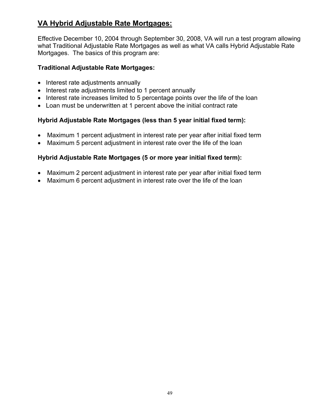# **VA Hybrid Adjustable Rate Mortgages:**

Effective December 10, 2004 through September 30, 2008, VA will run a test program allowing what Traditional Adjustable Rate Mortgages as well as what VA calls Hybrid Adjustable Rate Mortgages. The basics of this program are:

# **Traditional Adjustable Rate Mortgages:**

- Interest rate adjustments annually
- Interest rate adjustments limited to 1 percent annually
- Interest rate increases limited to 5 percentage points over the life of the loan
- Loan must be underwritten at 1 percent above the initial contract rate

# **Hybrid Adjustable Rate Mortgages (less than 5 year initial fixed term):**

- Maximum 1 percent adjustment in interest rate per year after initial fixed term
- Maximum 5 percent adjustment in interest rate over the life of the loan

# **Hybrid Adjustable Rate Mortgages (5 or more year initial fixed term):**

- Maximum 2 percent adjustment in interest rate per year after initial fixed term
- Maximum 6 percent adjustment in interest rate over the life of the loan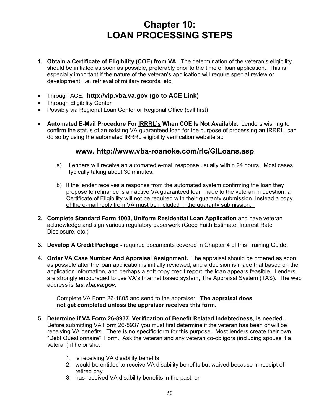# **Chapter 10: LOAN PROCESSING STEPS**

- **1. Obtain a Certificate of Eligibility (COE) from VA.** The determination of the veteran's eligibility should be initiated as soon as possible, preferably prior to the time of loan application. This is especially important if the nature of the veteran's application will require special review or development, i.e. retrieval of military records, etc.
- Through ACE: **http://vip.vba.va.gov (go to ACE Link)**
- Through Eligibility Center
- Possibly via Regional Loan Center or Regional Office (call first)
- **Automated E-Mail Procedure For IRRRL's When COE Is Not Available.** Lenders wishing to confirm the status of an existing VA guaranteed loan for the purpose of processing an IRRRL, can do so by using the automated IRRRL eligibility verification website at:

# **www. http://www.vba-roanoke.com/rlc/GILoans.asp**

- a) Lenders will receive an automated e-mail response usually within 24 hours. Most cases typically taking about 30 minutes.
- b) If the lender receives a response from the automated system confirming the loan they propose to refinance is an active VA guaranteed loan made to the veteran in question, a Certificate of Eligibility will not be required with their guaranty submission. Instead a copy of the e-mail reply from VA must be included in the guaranty submission.
- **2. Complete Standard Form 1003, Uniform Residential Loan Application** and have veteran acknowledge and sign various regulatory paperwork (Good Faith Estimate, Interest Rate Disclosure, etc.)
- **3. Develop A Credit Package** required documents covered in Chapter 4 of this Training Guide.
- **4. Order VA Case Number And Appraisal Assignment.** The appraisal should be ordered as soon as possible after the loan application is initially reviewed, and a decision is made that based on the application information, and perhaps a soft copy credit report, the loan appears feasible. Lenders are strongly encouraged to use VA's Internet based system, The Appraisal System (TAS). The web address is *tas.vba.va.gov.*

 Complete VA Form 26-1805 and send to the appraiser. **The appraisal does not get completed unless the appraiser receives this form.**

- **5. Determine if VA Form 26-8937, Verification of Benefit Related Indebtedness, is needed.** Before submitting VA Form 26-8937 you must first determine if the veteran has been or will be receiving VA benefits. There is no specific form for this purpose. Most lenders create their own "Debt Questionnaire" Form. Ask the veteran and any veteran co-obligors (including spouse if a veteran) if he or she:
	- 1. is receiving VA disability benefits
	- 2. would be entitled to receive VA disability benefits but waived because in receipt of retired pay
	- 3. has received VA disability benefits in the past, or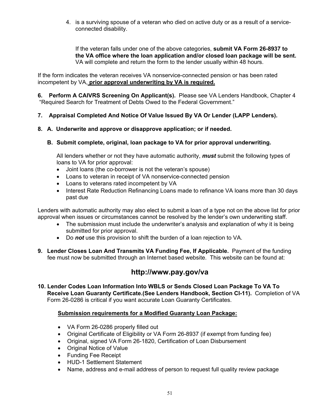4. is a surviving spouse of a veteran who died on active duty or as a result of a serviceconnected disability.

 If the veteran falls under one of the above categories, **submit VA Form 26-8937 to the VA office where the loan application and/or closed loan package will be sent.** VA will complete and return the form to the lender usually within 48 hours.

If the form indicates the veteran receives VA nonservice-connected pension or has been rated incompetent by VA, **prior approval underwriting by VA is required.**

**6. Perform A CAIVRS Screening On Applicant(s).** Please see VA Lenders Handbook, Chapter 4 "Required Search for Treatment of Debts Owed to the Federal Government."

# **7. Appraisal Completed And Notice Of Value Issued By VA Or Lender (LAPP Lenders).**

**8. A. Underwrite and approve or disapprove application; or if needed.** 

# **B. Submit complete, original, loan package to VA for prior approval underwriting.**

All lenders whether or not they have automatic authority, *must* submit the following types of loans to VA for prior approval:

- Joint loans (the co-borrower is not the veteran's spouse)
- Loans to veteran in receipt of VA nonservice-connected pension
- Loans to veterans rated incompetent by VA
- Interest Rate Reduction Refinancing Loans made to refinance VA loans more than 30 days past due

Lenders with automatic authority may also elect to submit a loan of a type not on the above list for prior approval when issues or circumstances cannot be resolved by the lender's own underwriting staff.

- The submission must include the underwriter's analysis and explanation of why it is being submitted for prior approval.
- Do *not* use this provision to shift the burden of a loan rejection to VA.
- **9. Lender Closes Loan And Transmits VA Funding Fee, If Applicable.** Payment of the funding fee must now be submitted through an Internet based website. This website can be found at:

# **http://www.pay.gov/va**

**10. Lender Codes Loan Information Into WBLS or Sends Closed Loan Package To VA To Receive Loan Guaranty Certificate.(See Lenders Handbook, Section CI-11).** Completion of VA Form 26-0286 is critical if you want accurate Loan Guaranty Certificates.

# **Submission requirements for a Modified Guaranty Loan Package:**

- VA Form 26-0286 properly filled out
- Original Certificate of Eligibility or VA Form 26-8937 (if exempt from funding fee)
- Original, signed VA Form 26-1820, Certification of Loan Disbursement
- Original Notice of Value
- Funding Fee Receipt
- HUD-1 Settlement Statement
- Name, address and e-mail address of person to request full quality review package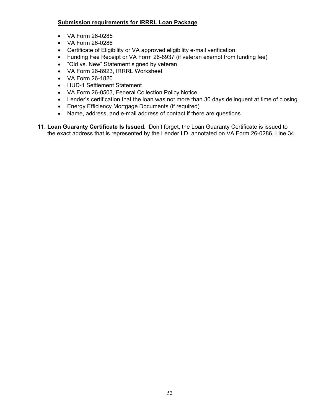# **Submission requirements for IRRRL Loan Package**

- VA Form 26-0285
- VA Form 26-0286
- Certificate of Eligibility or VA approved eligibility e-mail verification
- Funding Fee Receipt or VA Form 26-8937 (if veteran exempt from funding fee)
- "Old vs. New" Statement signed by veteran
- VA Form 26-8923, IRRRL Worksheet
- VA Form 26-1820
- HUD-1 Settlement Statement
- VA Form 26-0503, Federal Collection Policy Notice
- Lender's certification that the loan was not more than 30 days delinguent at time of closing
- Energy Efficiency Mortgage Documents (if required)
- Name, address, and e-mail address of contact if there are questions
- **11. Loan Guaranty Certificate Is Issued.** Don't forget, the Loan Guaranty Certificate is issued to the exact address that is represented by the Lender I.D. annotated on VA Form 26-0286, Line 34.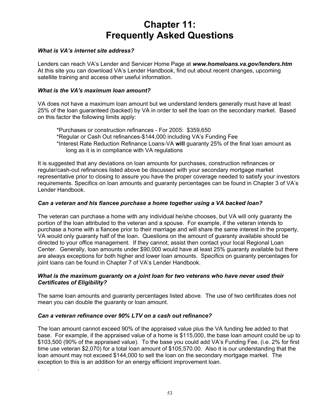# **Chapter 11: Frequently Asked Questions**

### *What is VA's internet site address?*

Lenders can reach VA's Lender and Servicer Home Page at *www.homeloans.va.gov/lenders.htm* At this site you can download VA's Lender Handbook, find out about recent changes, upcoming satellite training and access other useful information.

#### *What is the VA's maximum loan amount?*

VA does not have a maximum loan amount but we understand lenders generally must have at least 25% of the loan guaranteed (backed) by VA in order to sell the loan on the secondary market. Based on this factor the following limits apply:

\*Purchases or construction refinances - For 2005: \$359,650 \*Regular or Cash Out refinances-\$144,000 including VA's Funding Fee \*Interest Rate Reduction Refinance Loans-VA **will** guaranty 25% of the final loan amount as long as it is in compliance with VA regulations

It is suggested that any deviations on loan amounts for purchases, construction refinances or regular/cash-out refinances listed above be discussed with your secondary mortgage market representative prior to closing to assure you have the proper coverage needed to satisfy your investors requirements. Specifics on loan amounts and guaranty percentages can be found in Chapter 3 of VA's Lender Handbook.

#### *Can a veteran and his fiancee purchase a home together using a VA backed loan?*

The veteran can purchase a home with any individual he/she chooses, but VA will only guaranty the portion of the loan attributed to the veteran and a spouse. For example, if the veteran intends to purchase a home with a fiancee prior to their marriage and will share the same interest in the property, VA would only guaranty half of the loan. Questions on the amount of guaranty available should be directed to your office management. If they cannot, assist then contact your local Regional Loan Center. Generally, loan amounts under \$90,000 would have at least 25% guaranty available but there are always exceptions for both higher and lower loan amounts. Specifics on guaranty percentages for joint loans can be found in Chapter 7 of VA's Lender Handbook.

#### *What is the maximum guaranty on a joint loan for two veterans who have never used their Certificates of Eligibility?*

The same loan amounts and guaranty percentages listed above. The use of two certificates does not mean you can double the guaranty or loan amount.

#### *Can a veteran refinance over 90% LTV on a cash out refinance?*

.

The loan amount cannot exceed 90% of the appraised value plus the VA funding fee added to that base. For example, if the appraised value of a home is \$115,000, the base loan amount could be up to \$103,500 (90% of the appraised value). To the base you could add VA's Funding Fee, (i.e. 2% for first time use veteran \$2,070) for a total loan amount of \$105,570.00. Also it is our understanding that the loan amount may not exceed \$144,000 to sell the loan on the secondary mortgage market. The exception to this is an addition for an energy efficient improvement loan.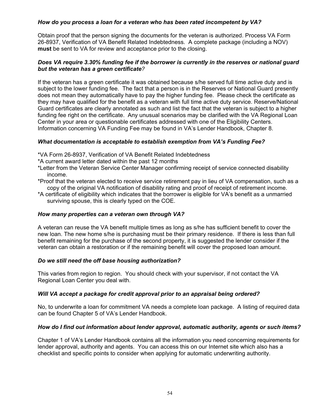# *How do you process a loan for a veteran who has been rated incompetent by VA?*

Obtain proof that the person signing the documents for the veteran is authorized. Process VA Form 26-8937, Verification of VA Benefit Related Indebtedness. A complete package (including a NOV) **must** be sent to VA for review and acceptance prior to the closing.

# *Does VA require 3.30% funding fee if the borrower is currently in the reserves or national guard but the veteran has a green certificate?*

If the veteran has a green certificate it was obtained because s/he served full time active duty and is subject to the lower funding fee. The fact that a person is in the Reserves or National Guard presently does not mean they automatically have to pay the higher funding fee. Please check the certificate as they may have qualified for the benefit as a veteran with full time active duty service. Reserve/National Guard certificates are clearly annotated as such and list the fact that the veteran is subject to a higher funding fee right on the certificate. Any unusual scenarios may be clarified with the VA Regional Loan Center in your area or questionable certificates addressed with one of the Eligibility Centers. Information concerning VA Funding Fee may be found in VA's Lender Handbook, Chapter 8.

#### *What documentation is acceptable to establish exemption from VA's Funding Fee?*

- \*VA Form 26-8937, Verification of VA Benefit Related Indebtedness
- \*A current award letter dated within the past 12 months
- \*Letter from the Veteran Service Center Manager confirming receipt of service connected disability income.
- \*Proof that the veteran elected to receive service retirement pay in lieu of VA compensation, such as a copy of the original VA notification of disability rating and proof of receipt of retirement income.
- \*A certificate of eligibility which indicates that the borrower is eligible for VA's benefit as a unmarried surviving spouse, this is clearly typed on the COE.

#### *How many properties can a veteran own through VA?*

A veteran can reuse the VA benefit multiple times as long as s/he has sufficient benefit to cover the new loan. The new home s/he is purchasing must be their primary residence. If there is less than full benefit remaining for the purchase of the second property, it is suggested the lender consider if the veteran can obtain a restoration or if the remaining benefit will cover the proposed loan amount.

# *Do we still need the off base housing authorization?*

This varies from region to region. You should check with your supervisor, if not contact the VA Regional Loan Center you deal with.

# *Will VA accept a package for credit approval prior to an appraisal being ordered?*

No, to underwrite a loan for commitment VA needs a complete loan package. A listing of required data can be found Chapter 5 of VA's Lender Handbook.

#### *How do I find out information about lender approval, automatic authority, agents or such items?*

Chapter 1 of VA's Lender Handbook contains all the information you need concerning requirements for lender approval, authority and agents. You can access this on our Internet site which also has a checklist and specific points to consider when applying for automatic underwriting authority.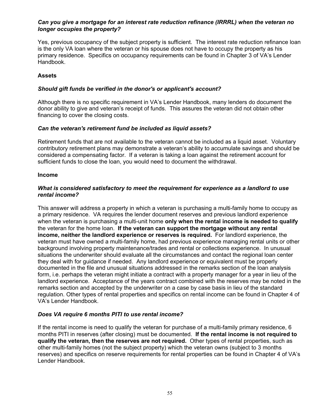### *Can you give a mortgage for an interest rate reduction refinance (IRRRL) when the veteran no longer occupies the property?*

Yes, previous occupancy of the subject property is sufficient. The interest rate reduction refinance loan is the only VA loan where the veteran or his spouse does not have to occupy the property as his primary residence. Specifics on occupancy requirements can be found in Chapter 3 of VA's Lender Handbook.

# **Assets**

# *Should gift funds be verified in the donor's or applicant's account?*

Although there is no specific requirement in VA's Lender Handbook, many lenders do document the donor ability to give and veteran's receipt of funds. This assures the veteran did not obtain other financing to cover the closing costs.

# *Can the veteran's retirement fund be included as liquid assets?*

Retirement funds that are not available to the veteran cannot be included as a liquid asset. Voluntary contributory retirement plans may demonstrate a veteran's ability to accumulate savings and should be considered a compensating factor. If a veteran is taking a loan against the retirement account for sufficient funds to close the loan, you would need to document the withdrawal.

#### **Income**

# *What is considered satisfactory to meet the requirement for experience as a landlord to use rental income?*

This answer will address a property in which a veteran is purchasing a multi-family home to occupy as a primary residence. VA requires the lender document reserves and previous landlord experience when the veteran is purchasing a multi-unit home **only when the rental income is needed to qualify**  the veteran for the home loan. **If the veteran can support the mortgage without any rental income, neither the landlord experience or reserves is required.** For landlord experience, the veteran must have owned a multi-family home, had previous experience managing rental units or other background involving property maintenance/trades and rental or collections experience. In unusual situations the underwriter should evaluate all the circumstances and contact the regional loan center they deal with for guidance if needed. Any landlord experience or equivalent must be properly documented in the file and unusual situations addressed in the remarks section of the loan analysis form, i.e. perhaps the veteran might initiate a contract with a property manager for a year in lieu of the landlord experience. Acceptance of the years contract combined with the reserves may be noted in the remarks section and accepted by the underwriter on a case by case basis in lieu of the standard regulation. Other types of rental properties and specifics on rental income can be found in Chapter 4 of VA's Lender Handbook.

# *Does VA require 6 months PITI to use rental income?*

If the rental income is need to qualify the veteran for purchase of a multi-family primary residence, 6 months PITI in reserves (after closing) must be documented. **If the rental income is not required to qualify the veteran, then the reserves are not required.** Other types of rental properties, such as other multi-family homes (not the subject property) which the veteran owns (subject to 3 months reserves) and specifics on reserve requirements for rental properties can be found in Chapter 4 of VA's Lender Handbook.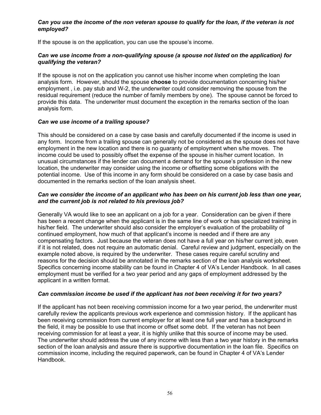### *Can you use the income of the non veteran spouse to qualify for the loan, if the veteran is not employed?*

If the spouse is on the application, you can use the spouse's income.

### *Can we use income from a non-qualifying spouse (a spouse not listed on the application) for qualifying the veteran?*

If the spouse is not on the application you cannot use his/her income when completing the loan analysis form. However, should the spouse **choose** to provide documentation concerning his/her employment , i.e. pay stub and W-2, the underwriter could consider removing the spouse from the residual requirement (reduce the number of family members by one). The spouse cannot be forced to provide this data. The underwriter must document the exception in the remarks section of the loan analysis form.

#### *Can we use income of a trailing spouse?*

This should be considered on a case by case basis and carefully documented if the income is used in any form. Income from a trailing spouse can generally not be considered as the spouse does not have employment in the new location and there is no guaranty of employment when s/he moves. The income could be used to possibly offset the expense of the spouse in his/her current location. In unusual circumstances if the lender can document a demand for the spouse's profession in the new location, the underwriter may consider using the income or offsetting some obligations with the potential income. Use of this income in any form should be considered on a case by case basis and documented in the remarks section of the loan analysis sheet.

### *Can we consider the income of an applicant who has been on his current job less than one year, and the current job is not related to his previous job?*

Generally VA would like to see an applicant on a job for a year. Consideration can be given if there has been a recent change when the applicant is in the same line of work or has specialized training in his/her field. The underwriter should also consider the employer's evaluation of the probability of continued employment, how much of that applicant's income is needed and if there are any compensating factors. Just because the veteran does not have a full year on his/her current job, even if it is not related, does not require an automatic denial. Careful review and judgment, especially on the example noted above, is required by the underwriter. These cases require careful scrutiny and reasons for the decision should be annotated in the remarks section of the loan analysis worksheet. Specifics concerning income stability can be found in Chapter 4 of VA's Lender Handbook. In all cases employment must be verified for a two year period and any gaps of employment addressed by the applicant in a written format.

# *Can commission income be used if the applicant has not been receiving it for two years?*

If the applicant has not been receiving commission income for a two year period, the underwriter must carefully review the applicants previous work experience and commission history. If the applicant has been receiving commission from current employer for at least one full year and has a background in the field, it may be possible to use that income or offset some debt. If the veteran has not been receiving commission for at least a year, it is highly unlike that this source of income may be used. The underwriter should address the use of any income with less than a two year history in the remarks section of the loan analysis and assure there is supportive documentation in the loan file. Specifics on commission income, including the required paperwork, can be found in Chapter 4 of VA's Lender Handbook.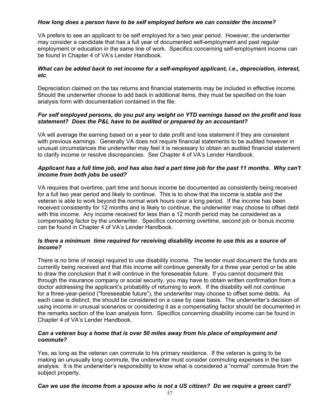# *How long does a person have to be self employed before we can consider the income?*

VA prefers to see an applicant to be self employed for a two year period. However, the underwriter may consider a candidate that has a full year of documented self-employment and past regular employment or education in the same line of work. Specifics concerning self-employment income can be found in Chapter 4 of VA's Lender Handbook.

# *What can be added back to net income for a self-employed applicant, i.e., depreciation, interest, etc.*

Depreciation claimed on the tax returns and financial statements may be included in effective income. Should the underwriter choose to add back in additional items, they must be specified on the loan analysis form with documentation contained in the file.

### *For self employed persons, do you put any weight on YTD earnings based on the profit and loss statement? Does the P&L have to be audited or prepared by an accountant?*

VA will average the earning based on a year to date profit and loss statement if they are consistent with previous earnings. Generally VA does not require financial statements to be audited however in unusual circumstances the underwriter may feel it is necessary to obtain an audited financial statement to clarify income or resolve discrepancies. See Chapter 4 of VA's Lender Handbook.

# *Applicant has a full time job, and has also had a part time job for the past 11 months. Why can't income from both jobs be used?*

VA requires that overtime, part time and bonus income be documented as consistently being received for a full two year period and likely to continue. This is to show that the income is stable and the veteran is able to work beyond the normal work hours over a long period. If the income has been received consistently for 12 months and is likely to continue, the underwriter may choose to offset debt with this income. Any income received for less than a 12 month period may be considered as a compensating factor by the underwriter. Specifics concerning overtime, second job or bonus income can be found in Chapter 4 of VA's Lender Handbook.

#### *Is there a minimum time required for receiving disability income to use this as a source of income?*

There is no time of receipt required to use disability income. The lender must document the funds are currently being received and that this income will continue generally for a three year period or be able to draw the conclusion that it will continue in the foreseeable future. If you cannot document this through the insurance company or social security, you may have to obtain written confirmation from a doctor addressing the applicant's probability of returning to work. If the disability will not continue for a three-year-period ("foreseeable future"), the underwriter may choose to offset some debts. As each case is distinct, the should be considered on a case by case basis. The underwriter's decision of using income in unusual scenarios or considering it as a compensating factor should be documented in the remarks section of the loan analysis form. Specifics concerning disability income can be found in Chapter 4 of VA's Lender Handbook.

# *Can a veteran buy a home that is over 50 miles away from his place of employment and commute?*

Yes, as long as the veteran can commute to his primary residence. If the veteran is going to be making an unusually long commute, the underwriter must consider commuting expenses in the loan analysis. It is the underwriter's responsibility to know what is considered a "normal" commute from the subject property.

# *Can we use the income from a spouse who is not a US citizen? Do we require a green card?*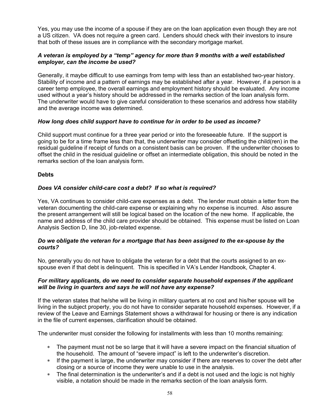Yes, you may use the income of a spouse if they are on the loan application even though they are not a US citizen. VA does not require a green card. Lenders should check with their investors to insure that both of these issues are in compliance with the secondary mortgage market.

# *A veteran is employed by a "temp" agency for more than 9 months with a well established employer, can the income be used?*

Generally, it maybe difficult to use earnings from temp with less than an established two-year history. Stability of income and a pattern of earnings may be established after a year. However, if a person is a career temp employee, the overall earnings and employment history should be evaluated. Any income used without a year's history should be addressed in the remarks section of the loan analysis form. The underwriter would have to give careful consideration to these scenarios and address how stability and the average income was determined.

#### *How long does child support have to continue for in order to be used as income?*

Child support must continue for a three year period or into the foreseeable future. If the support is going to be for a time frame less than that, the underwriter may consider offsetting the child(ren) in the residual guideline if receipt of funds on a consistent basis can be proven. If the underwriter chooses to offset the child in the residual guideline or offset an intermediate obligation, this should be noted in the remarks section of the loan analysis form.

#### **Debts**

# *Does VA consider child-care cost a debt? If so what is required?*

Yes, VA continues to consider child-care expenses as a debt. The lender must obtain a letter from the veteran documenting the child-care expense or explaining why no expense is incurred. Also assure the present arrangement will still be logical based on the location of the new home. If applicable, the name and address of the child care provider should be obtained. This expense must be listed on Loan Analysis Section D, line 30, job-related expense.

#### *Do we obligate the veteran for a mortgage that has been assigned to the ex-spouse by the courts?*

No, generally you do not have to obligate the veteran for a debt that the courts assigned to an exspouse even if that debt is delinquent. This is specified in VA's Lender Handbook, Chapter 4.

#### *For military applicants, do we need to consider separate household expenses if the applicant will be living in quarters and says he will not have any expense?*

If the veteran states that he/she will be living in military quarters at no cost and his/her spouse will be living in the subject property, you do not have to consider separate household expenses. However, if a review of the Leave and Earnings Statement shows a withdrawal for housing or there is any indication in the file of current expenses, clarification should be obtained.

The underwriter must consider the following for installments with less than 10 months remaining:

- ∗ The payment must not be so large that it will have a severe impact on the financial situation of the household. The amount of "severe impact" is left to the underwriter's discretion.
- ∗ If the payment is large, the underwriter may consider if there are reserves to cover the debt after closing or a source of income they were unable to use in the analysis.
- ∗ The final determination is the underwriter's and if a debt is not used and the logic is not highly visible, a notation should be made in the remarks section of the loan analysis form.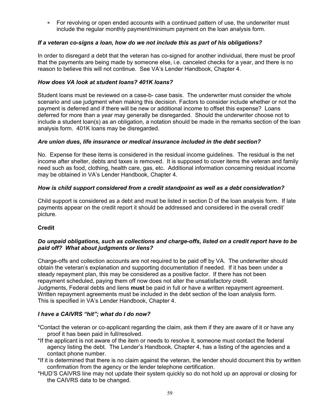∗ For revolving or open ended accounts with a continued pattern of use, the underwriter must include the regular monthly payment/minimum payment on the loan analysis form.

# *If a veteran co-signs a loan, how do we not include this as part of his obligations?*

In order to disregard a debt that the veteran has co-signed for another individual, there must be proof that the payments are being made by someone else, i.e. canceled checks for a year, and there is no reason to believe this will not continue. See VA's Lender Handbook, Chapter 4.

# *How does VA look at student loans? 401K loans?*

Student loans must be reviewed on a case-b- case basis. The underwriter must consider the whole scenario and use judgment when making this decision. Factors to consider include whether or not the payment is deferred and if there will be new or additional income to offset this expense? Loans deferred for more than a year may generally be disregarded. Should the underwriter choose not to include a student loan(s) as an obligation, a notation should be made in the remarks section of the loan analysis form. 401K loans may be disregarded.

# *Are union dues, life insurance or medical insurance included in the debt section?*

No. Expense for these items is considered in the residual income guidelines. The residual is the net income after shelter, debts and taxes is removed. It is supposed to cover items the veteran and family need such as food, clothing, health care, gas, etc. Additional information concerning residual income may be obtained in VA's Lender Handbook, Chapter 4.

# *How is child support considered from a credit standpoint as well as a debt consideration?*

Child support is considered as a debt and must be listed in section D of the loan analysis form. If late payments appear on the credit report it should be addressed and considered in the overall credit' picture.

# **Credit**

# *Do unpaid obligations, such as collections and charge-offs, listed on a credit report have to be paid off? What about judgments or liens?*

Charge-offs and collection accounts are not required to be paid off by VA. The underwriter should obtain the veteran's explanation and supporting documentation if needed. If it has been under a steady repayment plan, this may be considered as a positive factor. If there has not been repayment scheduled, paying them off now does not alter the unsatisfactory credit. Judgments, Federal debts and liens **must** be paid in full or have a written repayment agreement. Written repayment agreements must be included in the debt section of the loan analysis form. This is specified in VA's Lender Handbook, Chapter 4.

# *I have a CAIVRS "hit"; what do I do now?*

- \*Contact the veteran or co-applicant regarding the claim, ask them if they are aware of it or have any proof it has been paid in full/resolved.
- \*If the applicant is not aware of the item or needs to resolve it, someone must contact the federal agency listing the debt. The Lender's Handbook, Chapter 4, has a listing of the agencies and a contact phone number.
- \*If it is determined that there is no claim against the veteran, the lender should document this by written confirmation from the agency or the lender telephone certification.
- \*HUD'S CAIVRS line may not update their system quickly so do not hold up an approval or closing for the CAIVRS data to be changed.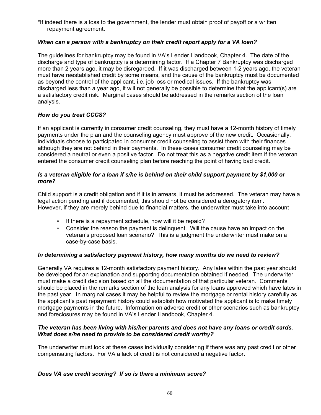\*If indeed there is a loss to the government, the lender must obtain proof of payoff or a written repayment agreement.

# *When can a person with a bankruptcy on their credit report apply for a VA loan?*

The guidelines for bankruptcy may be found in VA's Lender Handbook, Chapter 4. The date of the discharge and type of bankruptcy is a determining factor. If a Chapter 7 Bankruptcy was discharged more than 2 years ago, it may be disregarded. If it was discharged between 1-2 years ago, the veteran must have reestablished credit by some means, and the cause of the bankruptcy must be documented as beyond the control of the applicant, i.e. job loss or medical issues. If the bankruptcy was discharged less than a year ago, it will not generally be possible to determine that the applicant(s) are a satisfactory credit risk. Marginal cases should be addressed in the remarks section of the loan analysis.

# *How do you treat CCCS?*

If an applicant is currently in consumer credit counseling, they must have a 12-month history of timely payments under the plan and the counseling agency must approve of the new credit. Occasionally, individuals choose to participated in consumer credit counseling to assist them with their finances although they are not behind in their payments. In these cases consumer credit counseling may be considered a neutral or even a positive factor. Do not treat this as a negative credit item if the veteran entered the consumer credit counseling plan before reaching the point of having bad credit.

# *Is a veteran eligible for a loan if s/he is behind on their child support payment by \$1,000 or more?*

Child support is a credit obligation and if it is in arrears, it must be addressed. The veteran may have a legal action pending and if documented, this should not be considered a derogatory item. However, if they are merely behind due to financial matters, the underwriter must take into account

- ∗ If there is a repayment schedule, how will it be repaid?
- ∗ Consider the reason the payment is delinquent. Will the cause have an impact on the veteran's proposed loan scenario? This is a judgment the underwriter must make on a case-by-case basis.

# *In determining a satisfactory payment history, how many months do we need to review?*

Generally VA requires a 12-month satisfactory payment history. Any lates within the past year should be developed for an explanation and supporting documentation obtained if needed. The underwriter must make a credit decision based on all the documentation of that particular veteran. Comments should be placed in the remarks section of the loan analysis for any loans approved which have lates in the past year. In marginal cases it may be helpful to review the mortgage or rental history carefully as the applicant's past repayment history could establish how motivated the applicant is to make timely mortgage payments in the future. Information on adverse credit or other scenarios such as bankruptcy and foreclosures may be found in VA's Lender Handbook, Chapter 4.

# *The veteran has been living with his/her parents and does not have any loans or credit cards. What does s/he need to provide to be considered credit worthy?*

The underwriter must look at these cases individually considering if there was any past credit or other compensating factors. For VA a lack of credit is not considered a negative factor.

# *Does VA use credit scoring? If so is there a minimum score?*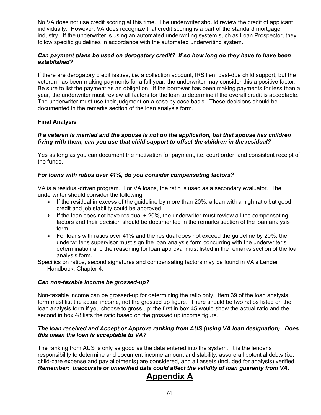No VA does not use credit scoring at this time. The underwriter should review the credit of applicant individually. However, VA does recognize that credit scoring is a part of the standard mortgage industry. If the underwriter is using an automated underwriting system such as Loan Prospector, they follow specific guidelines in accordance with the automated underwriting system.

# *Can payment plans be used on derogatory credit? If so how long do they have to have been established?*

If there are derogatory credit issues, i.e. a collection account, IRS lien, past-due child support, but the veteran has been making payments for a full year, the underwriter may consider this a positive factor. Be sure to list the payment as an obligation. If the borrower has been making payments for less than a year, the underwriter must review all factors for the loan to determine if the overall credit is acceptable. The underwriter must use their judgment on a case by case basis. These decisions should be documented in the remarks section of the loan analysis form.

# **Final Analysis**

### *If a veteran is married and the spouse is not on the application, but that spouse has children living with them, can you use that child support to offset the children in the residual?*

Yes as long as you can document the motivation for payment, i.e. court order, and consistent receipt of the funds.

# *For loans with ratios over 41%, do you consider compensating factors?*

VA is a residual-driven program. For VA loans, the ratio is used as a secondary evaluator. The underwriter should consider the following:

- ∗ If the residual in excess of the guideline by more than 20%, a loan with a high ratio but good credit and job stability could be approved.
- ∗ If the loan does not have residual + 20%, the underwriter must review all the compensating factors and their decision should be documented in the remarks section of the loan analysis form.
- ∗ For loans with ratios over 41% and the residual does not exceed the guideline by 20%, the underwriter's supervisor must sign the loan analysis form concurring with the underwriter's determination and the reasoning for loan approval must listed in the remarks section of the loan analysis form.

Specifics on ratios, second signatures and compensating factors may be found in VA's Lender Handbook, Chapter 4.

# *Can non-taxable income be grossed-up?*

Non-taxable income can be grossed-up for determining the ratio only. Item 39 of the loan analysis form must list the actual income, not the grossed up figure. There should be two ratios listed on the loan analysis form if you choose to gross up; the first in box 45 would show the actual ratio and the second in box 48 lists the ratio based on the grossed up income figure.

# *The loan received and Accept or Approve ranking from AUS (using VA loan designation). Does this mean the loan is acceptable to VA?*

The ranking from AUS is only as good as the data entered into the system. It is the lender's responsibility to determine and document income amount and stability, assure all potential debts (i.e. child-care expense and pay allotments) are considered, and all assets (included for analysis) verified. *Remember: Inaccurate or unverified data could affect the validity of loan guaranty from VA.* 

# **Appendix A**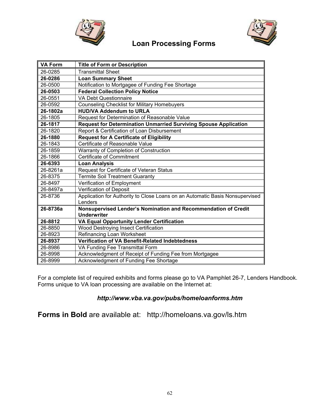

# **Loan Processing Forms**



| <b>VA Form</b> | <b>Title of Form or Description</b>                                          |
|----------------|------------------------------------------------------------------------------|
| 26-0285        | <b>Transmittal Sheet</b>                                                     |
| 26-0286        | <b>Loan Summary Sheet</b>                                                    |
| 26-0500        | Notification to Mortgagee of Funding Fee Shortage                            |
| 26-0503        | <b>Federal Collection Policy Notice</b>                                      |
| 26-0551        | <b>VA Debt Questionnaire</b>                                                 |
| 26-0592        | <b>Counseling Checklist for Military Homebuyers</b>                          |
| 26-1802a       | <b>HUD/VA Addendum to URLA</b>                                               |
| 26-1805        | Request for Determination of Reasonable Value                                |
| 26-1817        | Request for Determination Unmarried Surviving Spouse Application             |
| 26-1820        | Report & Certification of Loan Disbursement                                  |
| 26-1880        | <b>Request for A Certificate of Eligibility</b>                              |
| 26-1843        | Certificate of Reasonable Value                                              |
| 26-1859        | Warranty of Completion of Construction                                       |
| 26-1866        | Certificate of Commitment                                                    |
| 26-6393        | <b>Loan Analysis</b>                                                         |
| 26-8261a       | Request for Certificate of Veteran Status                                    |
| 26-8375        | <b>Termite Soil Treatment Guaranty</b>                                       |
| 26-8497        | Verification of Employment                                                   |
| 26-8497a       | Verification of Deposit                                                      |
| 26-8736        | Application for Authority to Close Loans on an Automatic Basis Nonsupervised |
|                | Lenders                                                                      |
| 26-8736a       | Nonsupervised Lender's Nomination and Recommendation of Credit               |
|                | <b>Underwriter</b>                                                           |
| 26-8812        | VA Equal Opportunity Lender Certification                                    |
| 26-8850        | Wood Destroying Insect Certification                                         |
| 26-8923        | Refinancing Loan Worksheet                                                   |
| 26-8937        | <b>Verification of VA Benefit-Related Indebtedness</b>                       |
| 26-8986        | VA Funding Fee Transmittal Form                                              |
| 26-8998        | Acknowledgment of Receipt of Funding Fee from Mortgagee                      |
| 26-8999        | Acknowledgment of Funding Fee Shortage                                       |

For a complete list of required exhibits and forms please go to VA Pamphlet 26-7, Lenders Handbook. Forms unique to VA loan processing are available on the Internet at:

# *http://www.vba.va.gov/pubs/homeloanforms.htm*

**Forms in Bold** are available at: http://homeloans.va.gov/ls.htm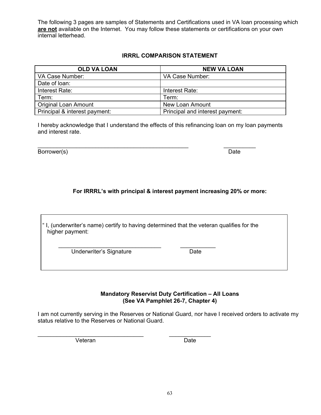The following 3 pages are samples of Statements and Certifications used in VA loan processing which **are not** available on the Internet. You may follow these statements or certifications on your own internal letterhead.

# **IRRRL COMPARISON STATEMENT**

| <b>OLD VA LOAN</b>            | <b>NEW VA LOAN</b>              |
|-------------------------------|---------------------------------|
| VA Case Number:               | VA Case Number:                 |
| Date of loan:                 |                                 |
| Interest Rate:                | Interest Rate:                  |
| Term:                         | Term:                           |
| <b>Original Loan Amount</b>   | New Loan Amount                 |
| Principal & interest payment: | Principal and interest payment: |

I hereby acknowledge that I understand the effects of this refinancing loan on my loan payments and interest rate.

Borrower(s) Date

# **For IRRRL's with principal & interest payment increasing 20% or more:**

| "I, (underwriter's name) certify to having determined that the veteran qualifies for the |  |  |
|------------------------------------------------------------------------------------------|--|--|
| higher payment:                                                                          |  |  |

 $\mathcal{L} = \{ \mathcal{L} = \{ \mathcal{L} \mid \mathcal{L} = \{ \mathcal{L} \mid \mathcal{L} = \{ \mathcal{L} \mid \mathcal{L} = \{ \mathcal{L} \mid \mathcal{L} = \{ \mathcal{L} \mid \mathcal{L} = \{ \mathcal{L} \mid \mathcal{L} = \{ \mathcal{L} \mid \mathcal{L} = \{ \mathcal{L} \mid \mathcal{L} = \{ \mathcal{L} \mid \mathcal{L} = \{ \mathcal{L} \mid \mathcal{L} = \{ \mathcal{L} \mid \mathcal{L} = \{ \mathcal{L} \mid \mathcal{L} =$ Underwriter's Signature Date

\_\_\_\_\_\_\_\_\_\_\_\_\_\_\_\_\_\_\_\_\_\_\_\_\_\_\_\_\_\_\_\_\_ \_\_\_\_\_\_\_\_\_\_\_\_\_

**Mandatory Reservist Duty Certification – All Loans (See VA Pamphlet 26-7, Chapter 4)** 

I am not currently serving in the Reserves or National Guard, nor have I received orders to activate my status relative to the Reserves or National Guard.

Veteran Date

\_\_\_\_\_\_\_\_\_\_\_\_\_\_\_\_\_\_\_\_\_\_\_\_\_\_\_\_\_\_\_\_\_\_\_\_\_\_\_\_\_\_\_\_\_\_\_ \_\_\_\_\_\_\_\_\_\_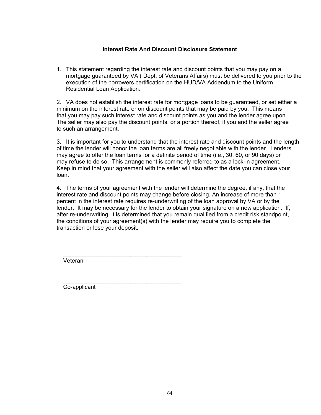# **Interest Rate And Discount Disclosure Statement**

1. This statement regarding the interest rate and discount points that you may pay on a mortgage guaranteed by VA ( Dept. of Veterans Affairs) must be delivered to you prior to the execution of the borrowers certification on the HUD/VA Addendum to the Uniform Residential Loan Application.

2. VA does not establish the interest rate for mortgage loans to be guaranteed, or set either a minimum on the interest rate or on discount points that may be paid by you. This means that you may pay such interest rate and discount points as you and the lender agree upon. The seller may also pay the discount points, or a portion thereof, if you and the seller agree to such an arrangement.

3. It is important for you to understand that the interest rate and discount points and the length of time the lender will honor the loan terms are all freely negotiable with the lender. Lenders may agree to offer the loan terms for a definite period of time (i.e., 30, 60, or 90 days) or may refuse to do so. This arrangement is commonly referred to as a lock-in agreement. Keep in mind that your agreement with the seller will also affect the date you can close your loan.

4. The terms of your agreement with the lender will determine the degree, if any, that the interest rate and discount points may change before closing. An increase of more than 1 percent in the interest rate requires re-underwriting of the loan approval by VA or by the lender. It may be necessary for the lender to obtain your signature on a new application. If, after re-underwriting, it is determined that you remain qualified from a credit risk standpoint, the conditions of your agreement(s) with the lender may require you to complete the transaction or lose your deposit.

 \_\_\_\_\_\_\_\_\_\_\_\_\_\_\_\_\_\_\_\_\_\_\_\_\_\_\_\_\_\_\_\_\_\_\_\_\_ Veteran

 $\overline{\phantom{a}}$  ,  $\overline{\phantom{a}}$  ,  $\overline{\phantom{a}}$  ,  $\overline{\phantom{a}}$  ,  $\overline{\phantom{a}}$  ,  $\overline{\phantom{a}}$  ,  $\overline{\phantom{a}}$  ,  $\overline{\phantom{a}}$  ,  $\overline{\phantom{a}}$  ,  $\overline{\phantom{a}}$  ,  $\overline{\phantom{a}}$  ,  $\overline{\phantom{a}}$  ,  $\overline{\phantom{a}}$  ,  $\overline{\phantom{a}}$  ,  $\overline{\phantom{a}}$  ,  $\overline{\phantom{a}}$ Co-applicant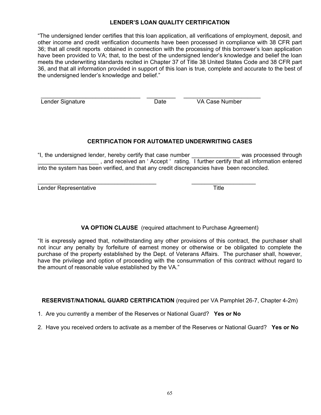# **LENDER'S LOAN QUALITY CERTIFICATION**

"The undersigned lender certifies that this loan application, all verifications of employment, deposit, and other income and credit verification documents have been processed in compliance with 38 CFR part 36; that all credit reports obtained in connection with the processing of this borrower's loan application have been provided to VA; that, to the best of the undersigned lender's knowledge and belief the loan meets the underwriting standards recited in Chapter 37 of Title 38 United States Code and 38 CFR part 36, and that all information provided in support of this loan is true, complete and accurate to the best of the undersigned lender's knowledge and belief."

 $\frac{1}{2}$  ,  $\frac{1}{2}$  ,  $\frac{1}{2}$  ,  $\frac{1}{2}$  ,  $\frac{1}{2}$  ,  $\frac{1}{2}$  ,  $\frac{1}{2}$  ,  $\frac{1}{2}$  ,  $\frac{1}{2}$  ,  $\frac{1}{2}$  ,  $\frac{1}{2}$  ,  $\frac{1}{2}$  ,  $\frac{1}{2}$  ,  $\frac{1}{2}$  ,  $\frac{1}{2}$  ,  $\frac{1}{2}$  ,  $\frac{1}{2}$  ,  $\frac{1}{2}$  ,  $\frac{1$ Lender Signature **Case Contract Contract Contract Contract Contract Contract Contract Contract Contract Contract Contract Contract Contract Contract Contract Contract Contract Contract Contract Contract Contract Contract C** 

# **CERTIFICATION FOR AUTOMATED UNDERWRITING CASES**

"I, the undersigned lender, hereby certify that case number \_\_\_\_\_\_\_\_\_\_\_\_\_\_\_ was processed through \_\_\_\_\_\_\_\_\_\_\_\_\_\_\_\_\_\_\_ , and received an ' Accept ' rating. I further certify that all information entered into the system has been verified, and that any credit discrepancies have been reconciled.

\_\_\_\_\_\_\_\_\_\_\_\_\_\_\_\_\_\_\_\_\_\_\_\_\_\_\_\_\_\_\_\_\_\_\_\_\_ \_\_\_\_\_\_\_\_\_\_\_\_\_\_\_\_\_\_\_\_ Lender Representative Title

**VA OPTION CLAUSE** (required attachment to Purchase Agreement)

"It is expressly agreed that, notwithstanding any other provisions of this contract, the purchaser shall not incur any penalty by forfeiture of earnest money or otherwise or be obligated to complete the purchase of the property established by the Dept. of Veterans Affairs. The purchaser shall, however, have the privilege and option of proceeding with the consummation of this contract without regard to the amount of reasonable value established by the VA."

**RESERVIST/NATIONAL GUARD CERTIFICATION** (required per VA Pamphlet 26-7, Chapter 4-2m)

- 1. Are you currently a member of the Reserves or National Guard? **Yes or No**
- 2. Have you received orders to activate as a member of the Reserves or National Guard? **Yes or No**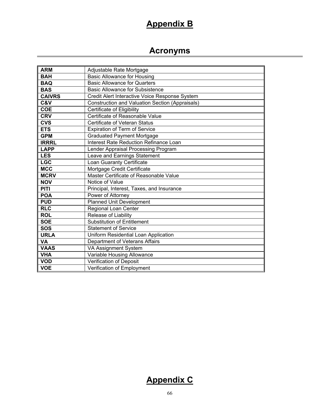# **Appendix B**

# **Acronyms**

| <b>ARM</b>    | Adjustable Rate Mortgage                               |
|---------------|--------------------------------------------------------|
| <b>BAH</b>    | <b>Basic Allowance for Housing</b>                     |
| <b>BAQ</b>    | <b>Basic Allowance for Quarters</b>                    |
| <b>BAS</b>    | <b>Basic Allowance for Subsistence</b>                 |
| <b>CAIVRS</b> | Credit Alert Interactive Voice Response System         |
| C&V           | <b>Construction and Valuation Section (Appraisals)</b> |
| <b>COE</b>    | Certificate of Eligibility                             |
| <b>CRV</b>    | Certificate of Reasonable Value                        |
| <b>CVS</b>    | Certificate of Veteran Status                          |
| <b>ETS</b>    | <b>Expiration of Term of Service</b>                   |
| <b>GPM</b>    | <b>Graduated Payment Mortgage</b>                      |
| <b>IRRRL</b>  | Interest Rate Reduction Refinance Loan                 |
| <b>LAPP</b>   | Lender Appraisal Processing Program                    |
| <b>LES</b>    | Leave and Earnings Statement                           |
| <b>LGC</b>    | Loan Guaranty Certificate                              |
| <b>MCC</b>    | Mortgage Credit Certificate                            |
| <b>MCRV</b>   | Master Certificate of Reasonable Value                 |
| <b>NOV</b>    | Notice of Value                                        |
| <b>PITI</b>   | Principal, Interest, Taxes, and Insurance              |
| <b>POA</b>    | Power of Attorney                                      |
| <b>PUD</b>    | <b>Planned Unit Development</b>                        |
| <b>RLC</b>    | Regional Loan Center                                   |
| <b>ROL</b>    | Release of Liability                                   |
| <b>SOE</b>    | <b>Substitution of Entitlement</b>                     |
| <b>SOS</b>    | <b>Statement of Service</b>                            |
| <b>URLA</b>   | Uniform Residential Loan Application                   |
| VA            | Department of Veterans Affairs                         |
| <b>VAAS</b>   | VA Assignment System                                   |
| <b>VHA</b>    | Variable Housing Allowance                             |
| <b>VOD</b>    | Verification of Deposit                                |
| <b>VOE</b>    | Verification of Employment                             |

# **Appendix C**